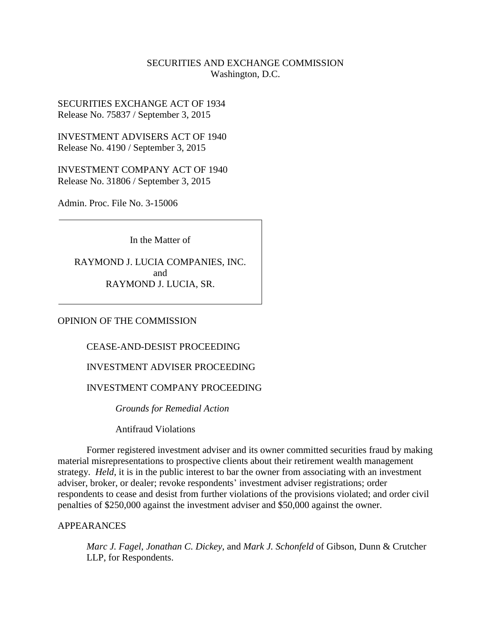## SECURITIES AND EXCHANGE COMMISSION Washington, D.C.

SECURITIES EXCHANGE ACT OF 1934 Release No. 75837 / September 3, 2015

INVESTMENT ADVISERS ACT OF 1940 Release No. 4190 / September 3, 2015

INVESTMENT COMPANY ACT OF 1940 Release No. 31806 / September 3, 2015

Admin. Proc. File No. 3-15006

In the Matter of

RAYMOND J. LUCIA COMPANIES, INC. and RAYMOND J. LUCIA, SR.

OPINION OF THE COMMISSION

### CEASE-AND-DESIST PROCEEDING

### INVESTMENT ADVISER PROCEEDING

### INVESTMENT COMPANY PROCEEDING

*Grounds for Remedial Action*

Antifraud Violations

Former registered investment adviser and its owner committed securities fraud by making material misrepresentations to prospective clients about their retirement wealth management strategy. *Held*, it is in the public interest to bar the owner from associating with an investment adviser, broker, or dealer; revoke respondents' investment adviser registrations; order respondents to cease and desist from further violations of the provisions violated; and order civil penalties of \$250,000 against the investment adviser and \$50,000 against the owner.

### APPEARANCES

*Marc J. Fagel*, *Jonathan C. Dickey*, and *Mark J. Schonfeld* of Gibson, Dunn & Crutcher LLP, for Respondents.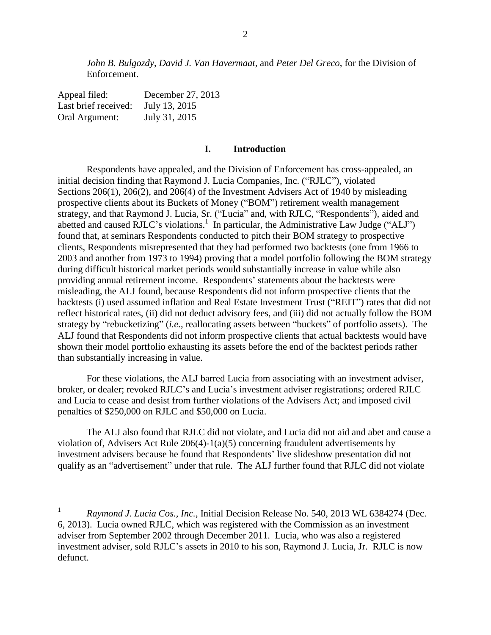*John B. Bulgozdy*, *David J. Van Havermaat*, and *Peter Del Greco*, for the Division of Enforcement.

| Appeal filed:        | December 27, 2013 |
|----------------------|-------------------|
| Last brief received: | July 13, 2015     |
| Oral Argument:       | July 31, 2015     |

#### **I. Introduction**

Respondents have appealed, and the Division of Enforcement has cross-appealed, an initial decision finding that Raymond J. Lucia Companies, Inc. ("RJLC"), violated Sections 206(1), 206(2), and 206(4) of the Investment Advisers Act of 1940 by misleading prospective clients about its Buckets of Money ("BOM") retirement wealth management strategy, and that Raymond J. Lucia, Sr. ("Lucia" and, with RJLC, "Respondents"), aided and abetted and caused RJLC's violations.<sup>1</sup> In particular, the Administrative Law Judge ("ALJ") found that, at seminars Respondents conducted to pitch their BOM strategy to prospective clients, Respondents misrepresented that they had performed two backtests (one from 1966 to 2003 and another from 1973 to 1994) proving that a model portfolio following the BOM strategy during difficult historical market periods would substantially increase in value while also providing annual retirement income. Respondents' statements about the backtests were misleading, the ALJ found, because Respondents did not inform prospective clients that the backtests (i) used assumed inflation and Real Estate Investment Trust ("REIT") rates that did not reflect historical rates, (ii) did not deduct advisory fees, and (iii) did not actually follow the BOM strategy by "rebucketizing" (*i.e.*, reallocating assets between "buckets" of portfolio assets). The ALJ found that Respondents did not inform prospective clients that actual backtests would have shown their model portfolio exhausting its assets before the end of the backtest periods rather than substantially increasing in value.

For these violations, the ALJ barred Lucia from associating with an investment adviser, broker, or dealer; revoked RJLC's and Lucia's investment adviser registrations; ordered RJLC and Lucia to cease and desist from further violations of the Advisers Act; and imposed civil penalties of \$250,000 on RJLC and \$50,000 on Lucia.

The ALJ also found that RJLC did not violate, and Lucia did not aid and abet and cause a violation of, Advisers Act Rule 206(4)-1(a)(5) concerning fraudulent advertisements by investment advisers because he found that Respondents' live slideshow presentation did not qualify as an "advertisement" under that rule. The ALJ further found that RJLC did not violate

<sup>|&</sup>lt;br>| *Raymond J. Lucia Cos., Inc.*, Initial Decision Release No. 540, 2013 WL 6384274 (Dec. 6, 2013). Lucia owned RJLC, which was registered with the Commission as an investment adviser from September 2002 through December 2011. Lucia, who was also a registered investment adviser, sold RJLC's assets in 2010 to his son, Raymond J. Lucia, Jr. RJLC is now defunct.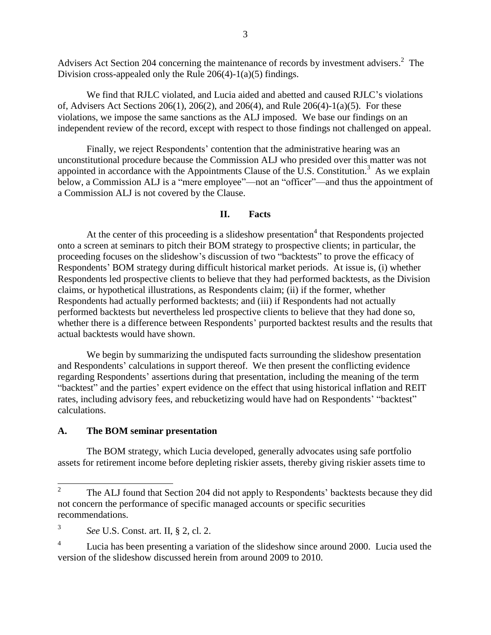Advisers Act Section 204 concerning the maintenance of records by investment advisers.<sup>2</sup> The Division cross-appealed only the Rule  $206(4)$ -1(a)(5) findings.

We find that RJLC violated, and Lucia aided and abetted and caused RJLC's violations of, Advisers Act Sections 206(1), 206(2), and 206(4), and Rule 206(4)-1(a)(5). For these violations, we impose the same sanctions as the ALJ imposed. We base our findings on an independent review of the record, except with respect to those findings not challenged on appeal.

Finally, we reject Respondents' contention that the administrative hearing was an unconstitutional procedure because the Commission ALJ who presided over this matter was not appointed in accordance with the Appointments Clause of the U.S. Constitution.<sup>3</sup> As we explain below, a Commission ALJ is a "mere employee"—not an "officer"—and thus the appointment of a Commission ALJ is not covered by the Clause.

#### **II. Facts**

At the center of this proceeding is a slideshow presentation<sup>4</sup> that Respondents projected onto a screen at seminars to pitch their BOM strategy to prospective clients; in particular, the proceeding focuses on the slideshow's discussion of two "backtests" to prove the efficacy of Respondents' BOM strategy during difficult historical market periods. At issue is, (i) whether Respondents led prospective clients to believe that they had performed backtests, as the Division claims, or hypothetical illustrations, as Respondents claim; (ii) if the former, whether Respondents had actually performed backtests; and (iii) if Respondents had not actually performed backtests but nevertheless led prospective clients to believe that they had done so, whether there is a difference between Respondents' purported backtest results and the results that actual backtests would have shown.

We begin by summarizing the undisputed facts surrounding the slideshow presentation and Respondents' calculations in support thereof. We then present the conflicting evidence regarding Respondents' assertions during that presentation, including the meaning of the term "backtest" and the parties' expert evidence on the effect that using historical inflation and REIT rates, including advisory fees, and rebucketizing would have had on Respondents' "backtest" calculations.

#### **A. The BOM seminar presentation**

The BOM strategy, which Lucia developed, generally advocates using safe portfolio assets for retirement income before depleting riskier assets, thereby giving riskier assets time to

<sup>2</sup> The ALJ found that Section 204 did not apply to Respondents' backtests because they did not concern the performance of specific managed accounts or specific securities recommendations.

<sup>3</sup> *See* U.S. Const. art. II, § 2, cl. 2.

<sup>4</sup> Lucia has been presenting a variation of the slideshow since around 2000. Lucia used the version of the slideshow discussed herein from around 2009 to 2010.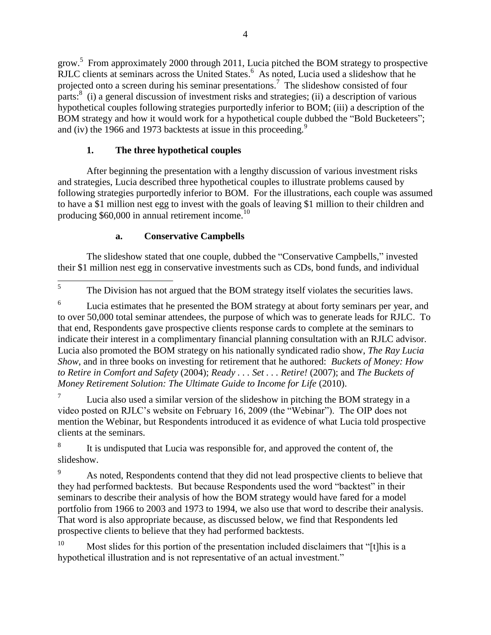grow.<sup>5</sup> From approximately 2000 through 2011, Lucia pitched the BOM strategy to prospective RJLC clients at seminars across the United States.<sup>6</sup> As noted, Lucia used a slideshow that he projected onto a screen during his seminar presentations.<sup>7</sup> The slideshow consisted of four parts:<sup>8</sup> (i) a general discussion of investment risks and strategies; (ii) a description of various hypothetical couples following strategies purportedly inferior to BOM; (iii) a description of the BOM strategy and how it would work for a hypothetical couple dubbed the "Bold Bucketeers"; and (iv) the 1966 and 1973 backtests at issue in this proceeding.<sup>9</sup>

# **1. The three hypothetical couples**

After beginning the presentation with a lengthy discussion of various investment risks and strategies, Lucia described three hypothetical couples to illustrate problems caused by following strategies purportedly inferior to BOM. For the illustrations, each couple was assumed to have a \$1 million nest egg to invest with the goals of leaving \$1 million to their children and producing \$60,000 in annual retirement income.<sup>10</sup>

# **a. Conservative Campbells**

The slideshow stated that one couple, dubbed the "Conservative Campbells," invested their \$1 million nest egg in conservative investments such as CDs, bond funds, and individual

6 Lucia estimates that he presented the BOM strategy at about forty seminars per year, and to over 50,000 total seminar attendees, the purpose of which was to generate leads for RJLC. To that end, Respondents gave prospective clients response cards to complete at the seminars to indicate their interest in a complimentary financial planning consultation with an RJLC advisor. Lucia also promoted the BOM strategy on his nationally syndicated radio show, *The Ray Lucia Show*, and in three books on investing for retirement that he authored: *Buckets of Money: How to Retire in Comfort and Safety* (2004); *Ready . . . Set . . . Retire!* (2007); and *The Buckets of Money Retirement Solution: The Ultimate Guide to Income for Life* (2010).

7 Lucia also used a similar version of the slideshow in pitching the BOM strategy in a video posted on RJLC's website on February 16, 2009 (the "Webinar"). The OIP does not mention the Webinar, but Respondents introduced it as evidence of what Lucia told prospective clients at the seminars.

8 It is undisputed that Lucia was responsible for, and approved the content of, the slideshow.

<sup>9</sup> As noted, Respondents contend that they did not lead prospective clients to believe that they had performed backtests. But because Respondents used the word "backtest" in their seminars to describe their analysis of how the BOM strategy would have fared for a model portfolio from 1966 to 2003 and 1973 to 1994, we also use that word to describe their analysis. That word is also appropriate because, as discussed below, we find that Respondents led prospective clients to believe that they had performed backtests.

<sup>10</sup> Most slides for this portion of the presentation included disclaimers that "[t]his is a hypothetical illustration and is not representative of an actual investment."

 5 The Division has not argued that the BOM strategy itself violates the securities laws.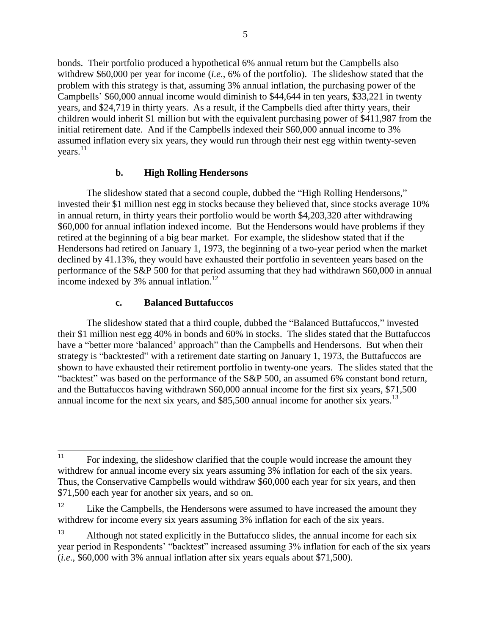bonds. Their portfolio produced a hypothetical 6% annual return but the Campbells also withdrew \$60,000 per year for income (*i.e.*, 6% of the portfolio). The slideshow stated that the problem with this strategy is that, assuming 3% annual inflation, the purchasing power of the Campbells' \$60,000 annual income would diminish to \$44,644 in ten years, \$33,221 in twenty years, and \$24,719 in thirty years. As a result, if the Campbells died after thirty years, their children would inherit \$1 million but with the equivalent purchasing power of \$411,987 from the initial retirement date. And if the Campbells indexed their \$60,000 annual income to 3% assumed inflation every six years, they would run through their nest egg within twenty-seven years. 11

## **b. High Rolling Hendersons**

The slideshow stated that a second couple, dubbed the "High Rolling Hendersons," invested their \$1 million nest egg in stocks because they believed that, since stocks average 10% in annual return, in thirty years their portfolio would be worth \$4,203,320 after withdrawing \$60,000 for annual inflation indexed income. But the Hendersons would have problems if they retired at the beginning of a big bear market. For example, the slideshow stated that if the Hendersons had retired on January 1, 1973, the beginning of a two-year period when the market declined by 41.13%, they would have exhausted their portfolio in seventeen years based on the performance of the S&P 500 for that period assuming that they had withdrawn \$60,000 in annual income indexed by 3% annual inflation.<sup>12</sup>

## **c. Balanced Buttafuccos**

The slideshow stated that a third couple, dubbed the "Balanced Buttafuccos," invested their \$1 million nest egg 40% in bonds and 60% in stocks. The slides stated that the Buttafuccos have a "better more 'balanced' approach" than the Campbells and Hendersons. But when their strategy is "backtested" with a retirement date starting on January 1, 1973, the Buttafuccos are shown to have exhausted their retirement portfolio in twenty-one years. The slides stated that the "backtest" was based on the performance of the S&P 500, an assumed 6% constant bond return, and the Buttafuccos having withdrawn \$60,000 annual income for the first six years, \$71,500 annual income for the next six years, and  $$85,500$  annual income for another six years.<sup>13</sup>

<sup>11</sup> <sup>11</sup> For indexing, the slideshow clarified that the couple would increase the amount they withdrew for annual income every six years assuming 3% inflation for each of the six years. Thus, the Conservative Campbells would withdraw \$60,000 each year for six years, and then \$71,500 each year for another six years, and so on.

 $12$  Like the Campbells, the Hendersons were assumed to have increased the amount they withdrew for income every six years assuming 3% inflation for each of the six years.

 $13$  Although not stated explicitly in the Buttafucco slides, the annual income for each six year period in Respondents' "backtest" increased assuming 3% inflation for each of the six years (*i.e.*, \$60,000 with 3% annual inflation after six years equals about \$71,500).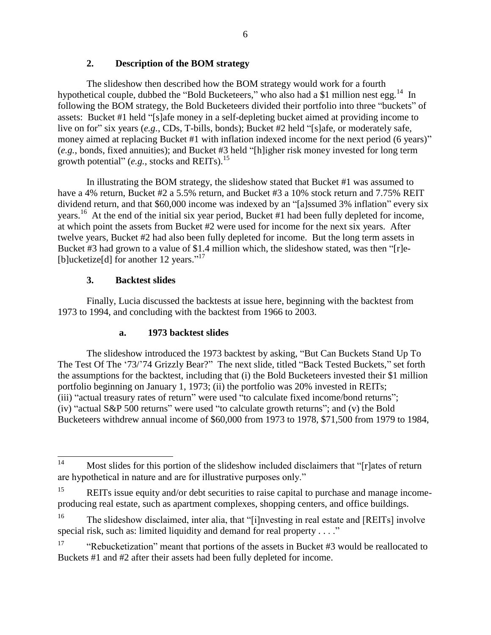## **2. Description of the BOM strategy**

The slideshow then described how the BOM strategy would work for a fourth hypothetical couple, dubbed the "Bold Bucketeers," who also had a \$1 million nest egg.<sup>14</sup> In following the BOM strategy, the Bold Bucketeers divided their portfolio into three "buckets" of assets: Bucket #1 held "[s]afe money in a self-depleting bucket aimed at providing income to live on for" six years (*e.g.*, CDs, T-bills, bonds); Bucket #2 held "[s]afe, or moderately safe, money aimed at replacing Bucket #1 with inflation indexed income for the next period (6 years)" (*e.g.*, bonds, fixed annuities); and Bucket #3 held "[h]igher risk money invested for long term growth potential" (*e.g.*, stocks and REITs).<sup>15</sup>

In illustrating the BOM strategy, the slideshow stated that Bucket #1 was assumed to have a 4% return, Bucket #2 a 5.5% return, and Bucket #3 a 10% stock return and 7.75% REIT dividend return, and that \$60,000 income was indexed by an "[a]ssumed 3% inflation" every six years.<sup>16</sup> At the end of the initial six year period, Bucket #1 had been fully depleted for income, at which point the assets from Bucket #2 were used for income for the next six years. After twelve years, Bucket #2 had also been fully depleted for income. But the long term assets in Bucket #3 had grown to a value of \$1.4 million which, the slideshow stated, was then "[r]e-[b]ucketize[d] for another 12 years."<sup>17</sup>

# **3. Backtest slides**

Finally, Lucia discussed the backtests at issue here, beginning with the backtest from 1973 to 1994, and concluding with the backtest from 1966 to 2003.

## **a. 1973 backtest slides**

The slideshow introduced the 1973 backtest by asking, "But Can Buckets Stand Up To The Test Of The '73/'74 Grizzly Bear?" The next slide, titled "Back Tested Buckets," set forth the assumptions for the backtest, including that (i) the Bold Bucketeers invested their \$1 million portfolio beginning on January 1, 1973; (ii) the portfolio was 20% invested in REITs; (iii) "actual treasury rates of return" were used "to calculate fixed income/bond returns"; (iv) "actual S&P 500 returns" were used "to calculate growth returns"; and (v) the Bold Bucketeers withdrew annual income of \$60,000 from 1973 to 1978, \$71,500 from 1979 to 1984,

 $14$ Most slides for this portion of the slideshow included disclaimers that "[r]ates of return are hypothetical in nature and are for illustrative purposes only."

<sup>&</sup>lt;sup>15</sup> REITs issue equity and/or debt securities to raise capital to purchase and manage incomeproducing real estate, such as apartment complexes, shopping centers, and office buildings.

<sup>16</sup> The slideshow disclaimed, inter alia, that "[i]nvesting in real estate and [REITs] involve special risk, such as: limited liquidity and demand for real property . . . ."

<sup>&</sup>lt;sup>17</sup> "Rebucketization" meant that portions of the assets in Bucket #3 would be reallocated to Buckets #1 and #2 after their assets had been fully depleted for income.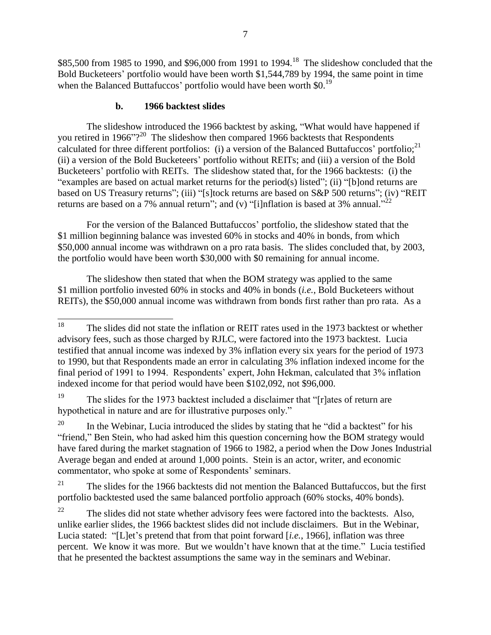\$85,500 from 1985 to 1990, and \$96,000 from 1991 to 1994.<sup>18</sup> The slideshow concluded that the Bold Bucketeers' portfolio would have been worth \$1,544,789 by 1994, the same point in time when the Balanced Buttafuccos' portfolio would have been worth \$0.<sup>19</sup>

## **b. 1966 backtest slides**

The slideshow introduced the 1966 backtest by asking, "What would have happened if you retired in 1966"?<sup>20</sup> The slideshow then compared 1966 backtests that Respondents calculated for three different portfolios: (i) a version of the Balanced Buttafuccos' portfolio;<sup>21</sup> (ii) a version of the Bold Bucketeers' portfolio without REITs; and (iii) a version of the Bold Bucketeers' portfolio with REITs. The slideshow stated that, for the 1966 backtests: (i) the "examples are based on actual market returns for the period(s) listed"; (ii) "[b]ond returns are based on US Treasury returns"; (iii) "[s]tock returns are based on S&P 500 returns"; (iv) "REIT returns are based on a 7% annual return"; and (v) "[i]nflation is based at 3% annual."<sup>22</sup>

For the version of the Balanced Buttafuccos' portfolio, the slideshow stated that the \$1 million beginning balance was invested 60% in stocks and 40% in bonds, from which \$50,000 annual income was withdrawn on a pro rata basis. The slides concluded that, by 2003, the portfolio would have been worth \$30,000 with \$0 remaining for annual income.

The slideshow then stated that when the BOM strategy was applied to the same \$1 million portfolio invested 60% in stocks and 40% in bonds (*i.e.*, Bold Bucketeers without REITs), the \$50,000 annual income was withdrawn from bonds first rather than pro rata. As a

<sup>20</sup> In the Webinar, Lucia introduced the slides by stating that he "did a backtest" for his "friend," Ben Stein, who had asked him this question concerning how the BOM strategy would have fared during the market stagnation of 1966 to 1982, a period when the Dow Jones Industrial Average began and ended at around 1,000 points. Stein is an actor, writer, and economic commentator, who spoke at some of Respondents' seminars.

<sup>21</sup> The slides for the 1966 backtests did not mention the Balanced Buttafuccos, but the first portfolio backtested used the same balanced portfolio approach (60% stocks, 40% bonds).

 $22$  The slides did not state whether advisory fees were factored into the backtests. Also, unlike earlier slides, the 1966 backtest slides did not include disclaimers. But in the Webinar, Lucia stated: "[L]et's pretend that from that point forward [*i.e.*, 1966], inflation was three percent. We know it was more. But we wouldn't have known that at the time." Lucia testified that he presented the backtest assumptions the same way in the seminars and Webinar.

<sup>18</sup> The slides did not state the inflation or REIT rates used in the 1973 backtest or whether advisory fees, such as those charged by RJLC, were factored into the 1973 backtest. Lucia testified that annual income was indexed by 3% inflation every six years for the period of 1973 to 1990, but that Respondents made an error in calculating 3% inflation indexed income for the final period of 1991 to 1994. Respondents' expert, John Hekman, calculated that 3% inflation indexed income for that period would have been \$102,092, not \$96,000.

<sup>&</sup>lt;sup>19</sup> The slides for the 1973 backtest included a disclaimer that "[r] ates of return are hypothetical in nature and are for illustrative purposes only."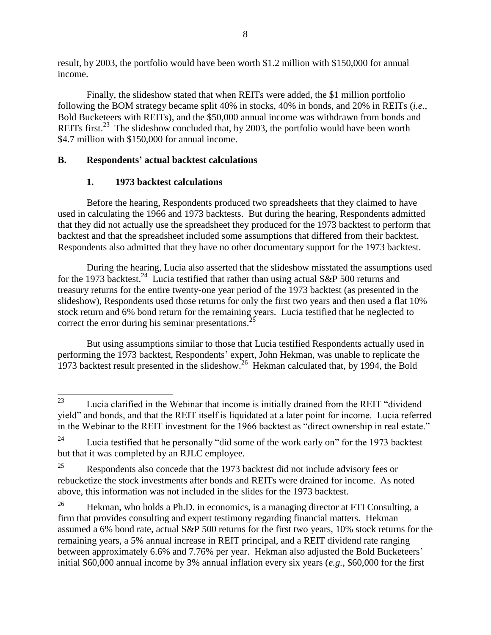result, by 2003, the portfolio would have been worth \$1.2 million with \$150,000 for annual income.

Finally, the slideshow stated that when REITs were added, the \$1 million portfolio following the BOM strategy became split 40% in stocks, 40% in bonds, and 20% in REITs (*i.e.*, Bold Bucketeers with REITs), and the \$50,000 annual income was withdrawn from bonds and REITs first.<sup>23</sup> The slideshow concluded that, by 2003, the portfolio would have been worth \$4.7 million with \$150,000 for annual income.

## **B. Respondents' actual backtest calculations**

# **1. 1973 backtest calculations**

Before the hearing, Respondents produced two spreadsheets that they claimed to have used in calculating the 1966 and 1973 backtests. But during the hearing, Respondents admitted that they did not actually use the spreadsheet they produced for the 1973 backtest to perform that backtest and that the spreadsheet included some assumptions that differed from their backtest. Respondents also admitted that they have no other documentary support for the 1973 backtest.

During the hearing, Lucia also asserted that the slideshow misstated the assumptions used for the 1973 backtest.<sup>24</sup> Lucia testified that rather than using actual S&P 500 returns and treasury returns for the entire twenty-one year period of the 1973 backtest (as presented in the slideshow), Respondents used those returns for only the first two years and then used a flat 10% stock return and 6% bond return for the remaining years. Lucia testified that he neglected to correct the error during his seminar presentations.<sup>25</sup>

But using assumptions similar to those that Lucia testified Respondents actually used in performing the 1973 backtest, Respondents' expert, John Hekman, was unable to replicate the 1973 backtest result presented in the slideshow.<sup>26</sup> Hekman calculated that, by 1994, the Bold

<sup>23</sup> <sup>23</sup> Lucia clarified in the Webinar that income is initially drained from the REIT "dividend yield" and bonds, and that the REIT itself is liquidated at a later point for income. Lucia referred in the Webinar to the REIT investment for the 1966 backtest as "direct ownership in real estate."

<sup>&</sup>lt;sup>24</sup> Lucia testified that he personally "did some of the work early on" for the 1973 backtest but that it was completed by an RJLC employee.

<sup>&</sup>lt;sup>25</sup> Respondents also concede that the 1973 backtest did not include advisory fees or rebucketize the stock investments after bonds and REITs were drained for income. As noted above, this information was not included in the slides for the 1973 backtest.

<sup>&</sup>lt;sup>26</sup> Hekman, who holds a Ph.D. in economics, is a managing director at FTI Consulting, a firm that provides consulting and expert testimony regarding financial matters. Hekman assumed a 6% bond rate, actual S&P 500 returns for the first two years, 10% stock returns for the remaining years, a 5% annual increase in REIT principal, and a REIT dividend rate ranging between approximately 6.6% and 7.76% per year. Hekman also adjusted the Bold Bucketeers' initial \$60,000 annual income by 3% annual inflation every six years (*e.g.*, \$60,000 for the first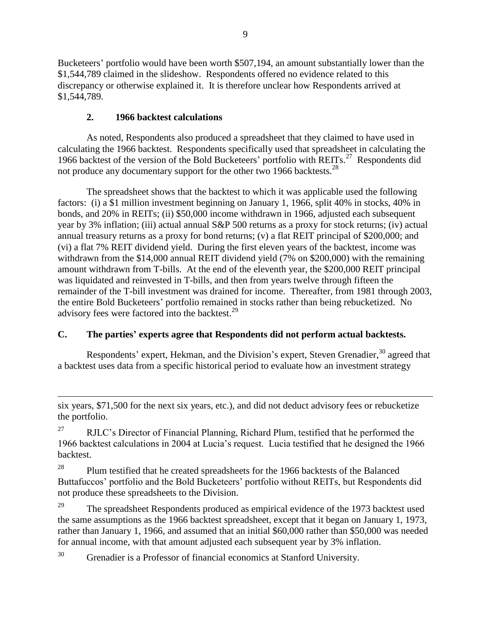Bucketeers' portfolio would have been worth \$507,194, an amount substantially lower than the \$1,544,789 claimed in the slideshow. Respondents offered no evidence related to this discrepancy or otherwise explained it. It is therefore unclear how Respondents arrived at \$1,544,789.

# **2. 1966 backtest calculations**

 $\overline{a}$ 

As noted, Respondents also produced a spreadsheet that they claimed to have used in calculating the 1966 backtest. Respondents specifically used that spreadsheet in calculating the 1966 backtest of the version of the Bold Bucketeers' portfolio with REITs.<sup>27</sup> Respondents did not produce any documentary support for the other two 1966 backtests.<sup>28</sup>

The spreadsheet shows that the backtest to which it was applicable used the following factors: (i) a \$1 million investment beginning on January 1, 1966, split 40% in stocks, 40% in bonds, and 20% in REITs; (ii) \$50,000 income withdrawn in 1966, adjusted each subsequent year by 3% inflation; (iii) actual annual S&P 500 returns as a proxy for stock returns; (iv) actual annual treasury returns as a proxy for bond returns; (v) a flat REIT principal of \$200,000; and (vi) a flat 7% REIT dividend yield. During the first eleven years of the backtest, income was withdrawn from the \$14,000 annual REIT dividend yield (7% on \$200,000) with the remaining amount withdrawn from T-bills. At the end of the eleventh year, the \$200,000 REIT principal was liquidated and reinvested in T-bills, and then from years twelve through fifteen the remainder of the T-bill investment was drained for income. Thereafter, from 1981 through 2003, the entire Bold Bucketeers' portfolio remained in stocks rather than being rebucketized. No advisory fees were factored into the backtest.<sup>29</sup>

# **C. The parties' experts agree that Respondents did not perform actual backtests.**

Respondents' expert, Hekman, and the Division's expert, Steven Grenadier,<sup>30</sup> agreed that a backtest uses data from a specific historical period to evaluate how an investment strategy

<sup>29</sup> The spreadsheet Respondents produced as empirical evidence of the 1973 backtest used the same assumptions as the 1966 backtest spreadsheet, except that it began on January 1, 1973, rather than January 1, 1966, and assumed that an initial \$60,000 rather than \$50,000 was needed for annual income, with that amount adjusted each subsequent year by 3% inflation.

<sup>30</sup> Grenadier is a Professor of financial economics at Stanford University.

six years, \$71,500 for the next six years, etc.), and did not deduct advisory fees or rebucketize the portfolio.

<sup>&</sup>lt;sup>27</sup> RJLC's Director of Financial Planning, Richard Plum, testified that he performed the 1966 backtest calculations in 2004 at Lucia's request. Lucia testified that he designed the 1966 backtest.

<sup>&</sup>lt;sup>28</sup> Plum testified that he created spreadsheets for the 1966 backtests of the Balanced Buttafuccos' portfolio and the Bold Bucketeers' portfolio without REITs, but Respondents did not produce these spreadsheets to the Division.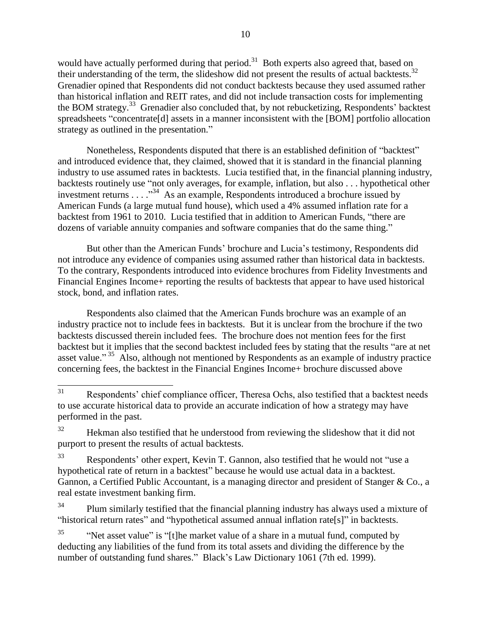would have actually performed during that period.<sup>31</sup> Both experts also agreed that, based on their understanding of the term, the slideshow did not present the results of actual backtests.<sup>32</sup> Grenadier opined that Respondents did not conduct backtests because they used assumed rather than historical inflation and REIT rates, and did not include transaction costs for implementing the BOM strategy.<sup>33</sup> Grenadier also concluded that, by not rebucketizing, Respondents' backtest spreadsheets "concentrate[d] assets in a manner inconsistent with the [BOM] portfolio allocation strategy as outlined in the presentation."

Nonetheless, Respondents disputed that there is an established definition of "backtest" and introduced evidence that, they claimed, showed that it is standard in the financial planning industry to use assumed rates in backtests. Lucia testified that, in the financial planning industry, backtests routinely use "not only averages, for example, inflation, but also . . . hypothetical other investment returns . . . .<sup>34</sup> As an example, Respondents introduced a brochure issued by American Funds (a large mutual fund house), which used a 4% assumed inflation rate for a backtest from 1961 to 2010. Lucia testified that in addition to American Funds, "there are dozens of variable annuity companies and software companies that do the same thing."

But other than the American Funds' brochure and Lucia's testimony, Respondents did not introduce any evidence of companies using assumed rather than historical data in backtests. To the contrary, Respondents introduced into evidence brochures from Fidelity Investments and Financial Engines Income+ reporting the results of backtests that appear to have used historical stock, bond, and inflation rates.

Respondents also claimed that the American Funds brochure was an example of an industry practice not to include fees in backtests. But it is unclear from the brochure if the two backtests discussed therein included fees. The brochure does not mention fees for the first backtest but it implies that the second backtest included fees by stating that the results "are at net asset value."<sup>35</sup> Also, although not mentioned by Respondents as an example of industry practice concerning fees, the backtest in the Financial Engines Income+ brochure discussed above

<sup>31</sup> Respondents' chief compliance officer, Theresa Ochs, also testified that a backtest needs to use accurate historical data to provide an accurate indication of how a strategy may have performed in the past.

<sup>&</sup>lt;sup>32</sup> Hekman also testified that he understood from reviewing the slideshow that it did not purport to present the results of actual backtests.

<sup>33</sup> Respondents' other expert, Kevin T. Gannon, also testified that he would not "use a hypothetical rate of return in a backtest" because he would use actual data in a backtest. Gannon, a Certified Public Accountant, is a managing director and president of Stanger & Co., a real estate investment banking firm.

 $34$  Plum similarly testified that the financial planning industry has always used a mixture of "historical return rates" and "hypothetical assumed annual inflation rate[s]" in backtests.

<sup>&</sup>quot;Net asset value" is "[t]he market value of a share in a mutual fund, computed by deducting any liabilities of the fund from its total assets and dividing the difference by the number of outstanding fund shares." Black's Law Dictionary 1061 (7th ed. 1999).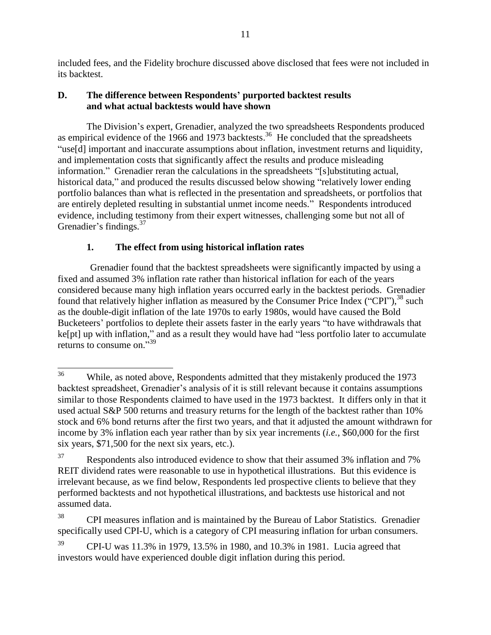included fees, and the Fidelity brochure discussed above disclosed that fees were not included in its backtest.

## **D. The difference between Respondents' purported backtest results and what actual backtests would have shown**

The Division's expert, Grenadier, analyzed the two spreadsheets Respondents produced as empirical evidence of the 1966 and 1973 backtests.<sup>36</sup> He concluded that the spreadsheets "use[d] important and inaccurate assumptions about inflation, investment returns and liquidity, and implementation costs that significantly affect the results and produce misleading information." Grenadier reran the calculations in the spreadsheets "[s]ubstituting actual, historical data," and produced the results discussed below showing "relatively lower ending portfolio balances than what is reflected in the presentation and spreadsheets, or portfolios that are entirely depleted resulting in substantial unmet income needs." Respondents introduced evidence, including testimony from their expert witnesses, challenging some but not all of Grenadier's findings.<sup>37</sup>

# **1. The effect from using historical inflation rates**

Grenadier found that the backtest spreadsheets were significantly impacted by using a fixed and assumed 3% inflation rate rather than historical inflation for each of the years considered because many high inflation years occurred early in the backtest periods. Grenadier found that relatively higher inflation as measured by the Consumer Price Index ("CPI"),<sup>38</sup> such as the double-digit inflation of the late 1970s to early 1980s, would have caused the Bold Bucketeers' portfolios to deplete their assets faster in the early years "to have withdrawals that ke[pt] up with inflation," and as a result they would have had "less portfolio later to accumulate returns to consume on."<sup>39</sup>

 $36$ While, as noted above, Respondents admitted that they mistakenly produced the 1973 backtest spreadsheet, Grenadier's analysis of it is still relevant because it contains assumptions similar to those Respondents claimed to have used in the 1973 backtest. It differs only in that it used actual S&P 500 returns and treasury returns for the length of the backtest rather than 10% stock and 6% bond returns after the first two years, and that it adjusted the amount withdrawn for income by 3% inflation each year rather than by six year increments (*i.e.*, \$60,000 for the first six years, \$71,500 for the next six years, etc.).

<sup>&</sup>lt;sup>37</sup> Respondents also introduced evidence to show that their assumed 3% inflation and 7% REIT dividend rates were reasonable to use in hypothetical illustrations. But this evidence is irrelevant because, as we find below, Respondents led prospective clients to believe that they performed backtests and not hypothetical illustrations, and backtests use historical and not assumed data.

<sup>&</sup>lt;sup>38</sup> CPI measures inflation and is maintained by the Bureau of Labor Statistics. Grenadier specifically used CPI-U, which is a category of CPI measuring inflation for urban consumers.

<sup>39</sup> CPI-U was 11.3% in 1979, 13.5% in 1980, and 10.3% in 1981. Lucia agreed that investors would have experienced double digit inflation during this period.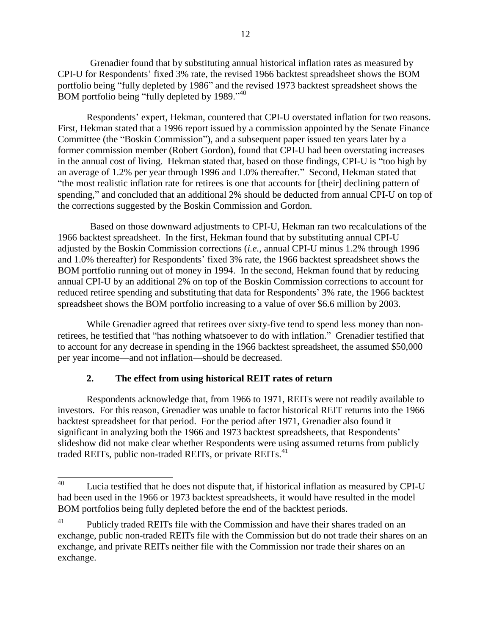Grenadier found that by substituting annual historical inflation rates as measured by CPI-U for Respondents' fixed 3% rate, the revised 1966 backtest spreadsheet shows the BOM portfolio being "fully depleted by 1986" and the revised 1973 backtest spreadsheet shows the BOM portfolio being "fully depleted by 1989."<sup>40</sup>

Respondents' expert, Hekman, countered that CPI-U overstated inflation for two reasons. First, Hekman stated that a 1996 report issued by a commission appointed by the Senate Finance Committee (the "Boskin Commission"), and a subsequent paper issued ten years later by a former commission member (Robert Gordon), found that CPI-U had been overstating increases in the annual cost of living. Hekman stated that, based on those findings, CPI-U is "too high by an average of 1.2% per year through 1996 and 1.0% thereafter." Second, Hekman stated that "the most realistic inflation rate for retirees is one that accounts for [their] declining pattern of spending," and concluded that an additional 2% should be deducted from annual CPI-U on top of the corrections suggested by the Boskin Commission and Gordon.

Based on those downward adjustments to CPI-U, Hekman ran two recalculations of the 1966 backtest spreadsheet. In the first, Hekman found that by substituting annual CPI-U adjusted by the Boskin Commission corrections (*i.e.*, annual CPI-U minus 1.2% through 1996 and 1.0% thereafter) for Respondents' fixed 3% rate, the 1966 backtest spreadsheet shows the BOM portfolio running out of money in 1994. In the second, Hekman found that by reducing annual CPI-U by an additional 2% on top of the Boskin Commission corrections to account for reduced retiree spending and substituting that data for Respondents' 3% rate, the 1966 backtest spreadsheet shows the BOM portfolio increasing to a value of over \$6.6 million by 2003.

While Grenadier agreed that retirees over sixty-five tend to spend less money than nonretirees, he testified that "has nothing whatsoever to do with inflation." Grenadier testified that to account for any decrease in spending in the 1966 backtest spreadsheet, the assumed \$50,000 per year income—and not inflation—should be decreased.

# **2. The effect from using historical REIT rates of return**

Respondents acknowledge that, from 1966 to 1971, REITs were not readily available to investors. For this reason, Grenadier was unable to factor historical REIT returns into the 1966 backtest spreadsheet for that period. For the period after 1971, Grenadier also found it significant in analyzing both the 1966 and 1973 backtest spreadsheets, that Respondents' slideshow did not make clear whether Respondents were using assumed returns from publicly traded REITs, public non-traded REITs, or private REITs.<sup>41</sup>

<sup>40</sup> Lucia testified that he does not dispute that, if historical inflation as measured by CPI-U had been used in the 1966 or 1973 backtest spreadsheets, it would have resulted in the model BOM portfolios being fully depleted before the end of the backtest periods.

<sup>&</sup>lt;sup>41</sup> Publicly traded REITs file with the Commission and have their shares traded on an exchange, public non-traded REITs file with the Commission but do not trade their shares on an exchange, and private REITs neither file with the Commission nor trade their shares on an exchange.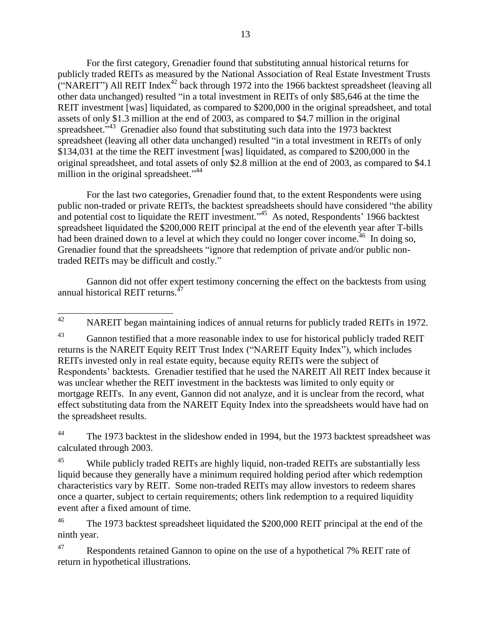For the first category, Grenadier found that substituting annual historical returns for publicly traded REITs as measured by the National Association of Real Estate Investment Trusts ("NAREIT") All REIT Index<sup>42</sup> back through 1972 into the 1966 backtest spreadsheet (leaving all other data unchanged) resulted "in a total investment in REITs of only \$85,646 at the time the REIT investment [was] liquidated, as compared to \$200,000 in the original spreadsheet, and total assets of only \$1.3 million at the end of 2003, as compared to \$4.7 million in the original spreadsheet."<sup>43</sup> Grenadier also found that substituting such data into the 1973 backtest spreadsheet (leaving all other data unchanged) resulted "in a total investment in REITs of only \$134,031 at the time the REIT investment [was] liquidated, as compared to \$200,000 in the original spreadsheet, and total assets of only \$2.8 million at the end of 2003, as compared to \$4.1 million in the original spreadsheet."<sup>44</sup>

For the last two categories, Grenadier found that, to the extent Respondents were using public non-traded or private REITs, the backtest spreadsheets should have considered "the ability and potential cost to liquidate the REIT investment."<sup>45</sup> As noted, Respondents' 1966 backtest spreadsheet liquidated the \$200,000 REIT principal at the end of the eleventh year after T-bills had been drained down to a level at which they could no longer cover income.<sup>46</sup> In doing so, Grenadier found that the spreadsheets "ignore that redemption of private and/or public nontraded REITs may be difficult and costly."

Gannon did not offer expert testimony concerning the effect on the backtests from using annual historical REIT returns.<sup>47</sup>

 $42$ NAREIT began maintaining indices of annual returns for publicly traded REITs in 1972.

<sup>43</sup> Gannon testified that a more reasonable index to use for historical publicly traded REIT returns is the NAREIT Equity REIT Trust Index ("NAREIT Equity Index"), which includes REITs invested only in real estate equity, because equity REITs were the subject of Respondents' backtests. Grenadier testified that he used the NAREIT All REIT Index because it was unclear whether the REIT investment in the backtests was limited to only equity or mortgage REITs. In any event, Gannon did not analyze, and it is unclear from the record, what effect substituting data from the NAREIT Equity Index into the spreadsheets would have had on the spreadsheet results.

<sup>44</sup> The 1973 backtest in the slideshow ended in 1994, but the 1973 backtest spreadsheet was calculated through 2003.

<sup>45</sup> While publicly traded REITs are highly liquid, non-traded REITs are substantially less liquid because they generally have a minimum required holding period after which redemption characteristics vary by REIT. Some non-traded REITs may allow investors to redeem shares once a quarter, subject to certain requirements; others link redemption to a required liquidity event after a fixed amount of time.

<sup>46</sup> The 1973 backtest spreadsheet liquidated the \$200,000 REIT principal at the end of the ninth year.

<sup>47</sup> Respondents retained Gannon to opine on the use of a hypothetical 7% REIT rate of return in hypothetical illustrations.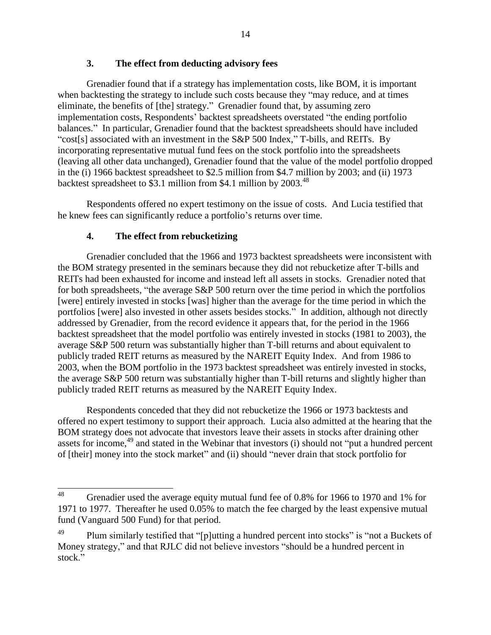## **3. The effect from deducting advisory fees**

Grenadier found that if a strategy has implementation costs, like BOM, it is important when backtesting the strategy to include such costs because they "may reduce, and at times eliminate, the benefits of [the] strategy." Grenadier found that, by assuming zero implementation costs, Respondents' backtest spreadsheets overstated "the ending portfolio balances." In particular, Grenadier found that the backtest spreadsheets should have included "cost[s] associated with an investment in the S&P 500 Index," T-bills, and REITs. By incorporating representative mutual fund fees on the stock portfolio into the spreadsheets (leaving all other data unchanged), Grenadier found that the value of the model portfolio dropped in the (i) 1966 backtest spreadsheet to \$2.5 million from \$4.7 million by 2003; and (ii) 1973 backtest spreadsheet to \$3.1 million from \$4.1 million by 2003.<sup>48</sup>

Respondents offered no expert testimony on the issue of costs. And Lucia testified that he knew fees can significantly reduce a portfolio's returns over time.

## **4. The effect from rebucketizing**

Grenadier concluded that the 1966 and 1973 backtest spreadsheets were inconsistent with the BOM strategy presented in the seminars because they did not rebucketize after T-bills and REITs had been exhausted for income and instead left all assets in stocks. Grenadier noted that for both spreadsheets, "the average S&P 500 return over the time period in which the portfolios [were] entirely invested in stocks [was] higher than the average for the time period in which the portfolios [were] also invested in other assets besides stocks." In addition, although not directly addressed by Grenadier, from the record evidence it appears that, for the period in the 1966 backtest spreadsheet that the model portfolio was entirely invested in stocks (1981 to 2003), the average S&P 500 return was substantially higher than T-bill returns and about equivalent to publicly traded REIT returns as measured by the NAREIT Equity Index. And from 1986 to 2003, when the BOM portfolio in the 1973 backtest spreadsheet was entirely invested in stocks, the average S&P 500 return was substantially higher than T-bill returns and slightly higher than publicly traded REIT returns as measured by the NAREIT Equity Index.

Respondents conceded that they did not rebucketize the 1966 or 1973 backtests and offered no expert testimony to support their approach. Lucia also admitted at the hearing that the BOM strategy does not advocate that investors leave their assets in stocks after draining other assets for income,<sup>49</sup> and stated in the Webinar that investors (i) should not "put a hundred percent of [their] money into the stock market" and (ii) should "never drain that stock portfolio for

<sup>48</sup> <sup>48</sup> Grenadier used the average equity mutual fund fee of 0.8% for 1966 to 1970 and 1% for 1971 to 1977. Thereafter he used 0.05% to match the fee charged by the least expensive mutual fund (Vanguard 500 Fund) for that period.

<sup>&</sup>lt;sup>49</sup> Plum similarly testified that "[p]utting a hundred percent into stocks" is "not a Buckets of Money strategy," and that RJLC did not believe investors "should be a hundred percent in stock."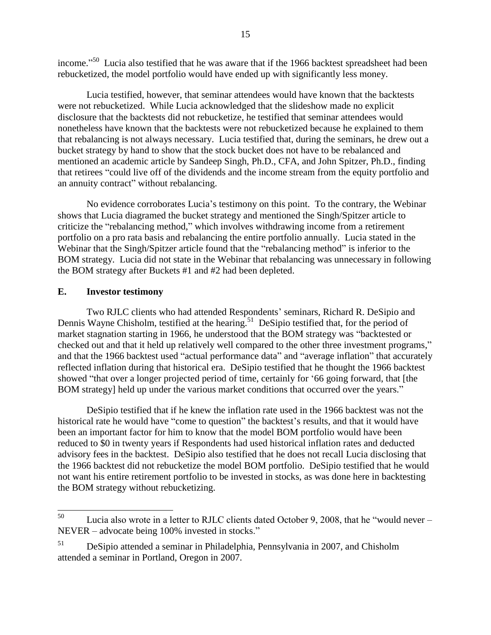income."<sup>50</sup> Lucia also testified that he was aware that if the 1966 backtest spreadsheet had been rebucketized, the model portfolio would have ended up with significantly less money.

Lucia testified, however, that seminar attendees would have known that the backtests were not rebucketized. While Lucia acknowledged that the slideshow made no explicit disclosure that the backtests did not rebucketize, he testified that seminar attendees would nonetheless have known that the backtests were not rebucketized because he explained to them that rebalancing is not always necessary. Lucia testified that, during the seminars, he drew out a bucket strategy by hand to show that the stock bucket does not have to be rebalanced and mentioned an academic article by Sandeep Singh, Ph.D., CFA, and John Spitzer, Ph.D., finding that retirees "could live off of the dividends and the income stream from the equity portfolio and an annuity contract" without rebalancing.

No evidence corroborates Lucia's testimony on this point. To the contrary, the Webinar shows that Lucia diagramed the bucket strategy and mentioned the Singh/Spitzer article to criticize the "rebalancing method," which involves withdrawing income from a retirement portfolio on a pro rata basis and rebalancing the entire portfolio annually. Lucia stated in the Webinar that the Singh/Spitzer article found that the "rebalancing method" is inferior to the BOM strategy. Lucia did not state in the Webinar that rebalancing was unnecessary in following the BOM strategy after Buckets #1 and #2 had been depleted.

#### **E. Investor testimony**

Two RJLC clients who had attended Respondents' seminars, Richard R. DeSipio and Dennis Wayne Chisholm, testified at the hearing.<sup>51</sup> DeSipio testified that, for the period of market stagnation starting in 1966, he understood that the BOM strategy was "backtested or checked out and that it held up relatively well compared to the other three investment programs," and that the 1966 backtest used "actual performance data" and "average inflation" that accurately reflected inflation during that historical era. DeSipio testified that he thought the 1966 backtest showed "that over a longer projected period of time, certainly for '66 going forward, that [the BOM strategy] held up under the various market conditions that occurred over the years."

DeSipio testified that if he knew the inflation rate used in the 1966 backtest was not the historical rate he would have "come to question" the backtest's results, and that it would have been an important factor for him to know that the model BOM portfolio would have been reduced to \$0 in twenty years if Respondents had used historical inflation rates and deducted advisory fees in the backtest. DeSipio also testified that he does not recall Lucia disclosing that the 1966 backtest did not rebucketize the model BOM portfolio. DeSipio testified that he would not want his entire retirement portfolio to be invested in stocks, as was done here in backtesting the BOM strategy without rebucketizing.

<sup>50</sup> Lucia also wrote in a letter to RJLC clients dated October 9, 2008, that he "would never – NEVER – advocate being 100% invested in stocks."

<sup>51</sup> DeSipio attended a seminar in Philadelphia, Pennsylvania in 2007, and Chisholm attended a seminar in Portland, Oregon in 2007.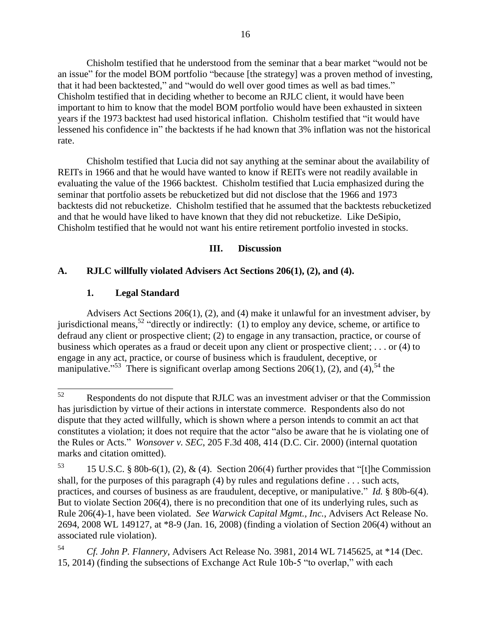Chisholm testified that he understood from the seminar that a bear market "would not be an issue" for the model BOM portfolio "because [the strategy] was a proven method of investing, that it had been backtested," and "would do well over good times as well as bad times." Chisholm testified that in deciding whether to become an RJLC client, it would have been important to him to know that the model BOM portfolio would have been exhausted in sixteen years if the 1973 backtest had used historical inflation. Chisholm testified that "it would have lessened his confidence in" the backtests if he had known that 3% inflation was not the historical rate.

Chisholm testified that Lucia did not say anything at the seminar about the availability of REITs in 1966 and that he would have wanted to know if REITs were not readily available in evaluating the value of the 1966 backtest. Chisholm testified that Lucia emphasized during the seminar that portfolio assets be rebucketized but did not disclose that the 1966 and 1973 backtests did not rebucketize. Chisholm testified that he assumed that the backtests rebucketized and that he would have liked to have known that they did not rebucketize. Like DeSipio, Chisholm testified that he would not want his entire retirement portfolio invested in stocks.

#### **III. Discussion**

#### **A. RJLC willfully violated Advisers Act Sections 206(1), (2), and (4).**

#### **1. Legal Standard**

Advisers Act Sections 206(1), (2), and (4) make it unlawful for an investment adviser, by jurisdictional means,<sup>52</sup> "directly or indirectly: (1) to employ any device, scheme, or artifice to defraud any client or prospective client; (2) to engage in any transaction, practice, or course of business which operates as a fraud or deceit upon any client or prospective client; ... or  $(4)$  to engage in any act, practice, or course of business which is fraudulent, deceptive, or manipulative.<sup>53</sup> There is significant overlap among Sections 206(1), (2), and (4),<sup>54</sup> the

<sup>52</sup> Respondents do not dispute that RJLC was an investment adviser or that the Commission has jurisdiction by virtue of their actions in interstate commerce. Respondents also do not dispute that they acted willfully, which is shown where a person intends to commit an act that constitutes a violation; it does not require that the actor "also be aware that he is violating one of the Rules or Acts." *Wonsover v. SEC*, 205 F.3d 408, 414 (D.C. Cir. 2000) (internal quotation marks and citation omitted).

<sup>&</sup>lt;sup>53</sup> 15 U.S.C. § 80b-6(1), (2), & (4). Section 206(4) further provides that "[t]he Commission shall, for the purposes of this paragraph (4) by rules and regulations define . . . such acts, practices, and courses of business as are fraudulent, deceptive, or manipulative." *Id.* § 80b-6(4). But to violate Section 206(4), there is no precondition that one of its underlying rules, such as Rule 206(4)-1, have been violated. *See Warwick Capital Mgmt., Inc.*, Advisers Act Release No. 2694, 2008 WL 149127, at \*8-9 (Jan. 16, 2008) (finding a violation of Section 206(4) without an associated rule violation).

<sup>54</sup> *Cf. John P. Flannery*, Advisers Act Release No. 3981, 2014 WL 7145625, at \*14 (Dec. 15, 2014) (finding the subsections of Exchange Act Rule 10b-5 "to overlap," with each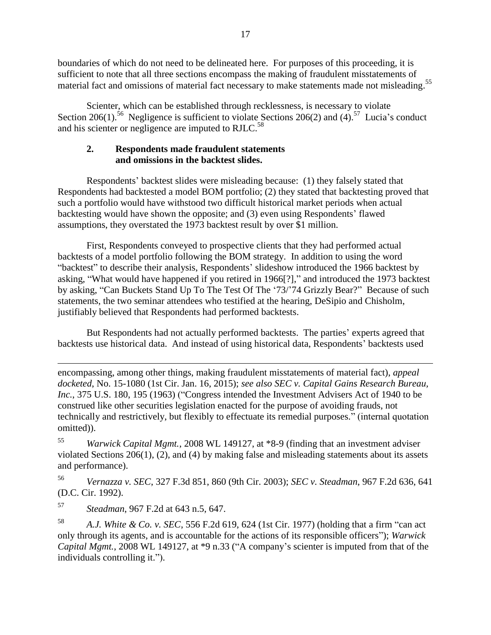boundaries of which do not need to be delineated here. For purposes of this proceeding, it is sufficient to note that all three sections encompass the making of fraudulent misstatements of material fact and omissions of material fact necessary to make statements made not misleading.<sup>55</sup>

Scienter, which can be established through recklessness, is necessary to violate Section 206(1).<sup>56</sup> Negligence is sufficient to violate Sections 206(2) and (4).<sup>57</sup> Lucia's conduct and his scienter or negligence are imputed to RJLC.<sup>58</sup>

## **2. Respondents made fraudulent statements and omissions in the backtest slides.**

Respondents' backtest slides were misleading because: (1) they falsely stated that Respondents had backtested a model BOM portfolio; (2) they stated that backtesting proved that such a portfolio would have withstood two difficult historical market periods when actual backtesting would have shown the opposite; and (3) even using Respondents' flawed assumptions, they overstated the 1973 backtest result by over \$1 million.

First, Respondents conveyed to prospective clients that they had performed actual backtests of a model portfolio following the BOM strategy. In addition to using the word "backtest" to describe their analysis, Respondents' slideshow introduced the 1966 backtest by asking, "What would have happened if you retired in 1966[?]," and introduced the 1973 backtest by asking, "Can Buckets Stand Up To The Test Of The '73/'74 Grizzly Bear?" Because of such statements, the two seminar attendees who testified at the hearing, DeSipio and Chisholm, justifiably believed that Respondents had performed backtests.

But Respondents had not actually performed backtests. The parties' experts agreed that backtests use historical data. And instead of using historical data, Respondents' backtests used

<sup>55</sup> *Warwick Capital Mgmt.*, 2008 WL 149127, at \*8-9 (finding that an investment adviser violated Sections 206(1), (2), and (4) by making false and misleading statements about its assets and performance).

<sup>56</sup> *Vernazza v. SEC*, 327 F.3d 851, 860 (9th Cir. 2003); *SEC v. Steadman*, 967 F.2d 636, 641 (D.C. Cir. 1992).

<sup>57</sup> *Steadman*, 967 F.2d at 643 n.5, 647.

 $\overline{a}$ 

<sup>58</sup> *A.J. White & Co. v. SEC*, 556 F.2d 619, 624 (1st Cir. 1977) (holding that a firm "can act only through its agents, and is accountable for the actions of its responsible officers"); *Warwick Capital Mgmt.*, 2008 WL 149127, at \*9 n.33 ("A company's scienter is imputed from that of the individuals controlling it.").

encompassing, among other things, making fraudulent misstatements of material fact), *appeal docketed*, No. 15-1080 (1st Cir. Jan. 16, 2015); *see also SEC v. Capital Gains Research Bureau, Inc.*, 375 U.S. 180, 195 (1963) ("Congress intended the Investment Advisers Act of 1940 to be construed like other securities legislation enacted for the purpose of avoiding frauds, not technically and restrictively, but flexibly to effectuate its remedial purposes." (internal quotation omitted)).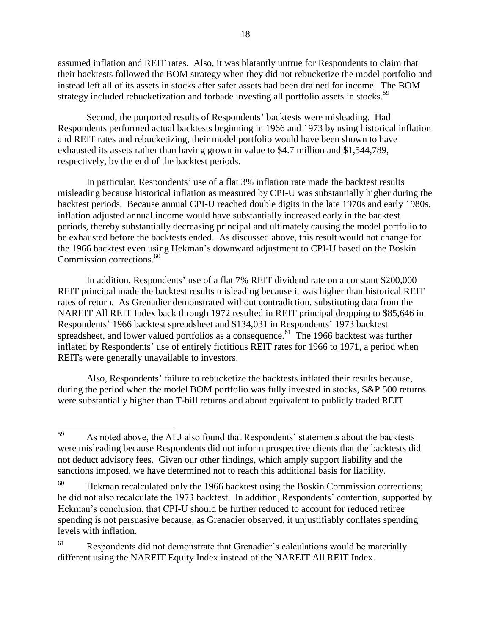assumed inflation and REIT rates. Also, it was blatantly untrue for Respondents to claim that their backtests followed the BOM strategy when they did not rebucketize the model portfolio and instead left all of its assets in stocks after safer assets had been drained for income. The BOM strategy included rebucketization and forbade investing all portfolio assets in stocks.<sup>59</sup>

Second, the purported results of Respondents' backtests were misleading. Had Respondents performed actual backtests beginning in 1966 and 1973 by using historical inflation and REIT rates and rebucketizing, their model portfolio would have been shown to have exhausted its assets rather than having grown in value to \$4.7 million and \$1,544,789, respectively, by the end of the backtest periods.

In particular, Respondents' use of a flat 3% inflation rate made the backtest results misleading because historical inflation as measured by CPI-U was substantially higher during the backtest periods. Because annual CPI-U reached double digits in the late 1970s and early 1980s, inflation adjusted annual income would have substantially increased early in the backtest periods, thereby substantially decreasing principal and ultimately causing the model portfolio to be exhausted before the backtests ended. As discussed above, this result would not change for the 1966 backtest even using Hekman's downward adjustment to CPI-U based on the Boskin Commission corrections.<sup>60</sup>

In addition, Respondents' use of a flat 7% REIT dividend rate on a constant \$200,000 REIT principal made the backtest results misleading because it was higher than historical REIT rates of return. As Grenadier demonstrated without contradiction, substituting data from the NAREIT All REIT Index back through 1972 resulted in REIT principal dropping to \$85,646 in Respondents' 1966 backtest spreadsheet and \$134,031 in Respondents' 1973 backtest spreadsheet, and lower valued portfolios as a consequence.<sup>61</sup> The 1966 backtest was further inflated by Respondents' use of entirely fictitious REIT rates for 1966 to 1971, a period when REITs were generally unavailable to investors.

Also, Respondents' failure to rebucketize the backtests inflated their results because, during the period when the model BOM portfolio was fully invested in stocks, S&P 500 returns were substantially higher than T-bill returns and about equivalent to publicly traded REIT

<sup>59</sup> As noted above, the ALJ also found that Respondents' statements about the backtests were misleading because Respondents did not inform prospective clients that the backtests did not deduct advisory fees. Given our other findings, which amply support liability and the sanctions imposed, we have determined not to reach this additional basis for liability.

 $^{60}$  Hekman recalculated only the 1966 backtest using the Boskin Commission corrections; he did not also recalculate the 1973 backtest. In addition, Respondents' contention, supported by Hekman's conclusion, that CPI-U should be further reduced to account for reduced retiree spending is not persuasive because, as Grenadier observed, it unjustifiably conflates spending levels with inflation.

<sup>&</sup>lt;sup>61</sup> Respondents did not demonstrate that Grenadier's calculations would be materially different using the NAREIT Equity Index instead of the NAREIT All REIT Index.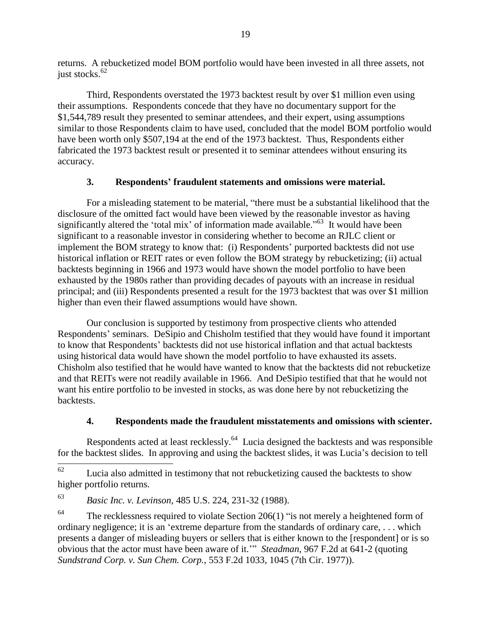returns. A rebucketized model BOM portfolio would have been invested in all three assets, not just stocks. 62

Third, Respondents overstated the 1973 backtest result by over \$1 million even using their assumptions. Respondents concede that they have no documentary support for the \$1,544,789 result they presented to seminar attendees, and their expert, using assumptions similar to those Respondents claim to have used, concluded that the model BOM portfolio would have been worth only \$507,194 at the end of the 1973 backtest. Thus, Respondents either fabricated the 1973 backtest result or presented it to seminar attendees without ensuring its accuracy.

# **3. Respondents' fraudulent statements and omissions were material.**

For a misleading statement to be material, "there must be a substantial likelihood that the disclosure of the omitted fact would have been viewed by the reasonable investor as having significantly altered the 'total mix' of information made available."<sup>63</sup> It would have been significant to a reasonable investor in considering whether to become an RJLC client or implement the BOM strategy to know that: (i) Respondents' purported backtests did not use historical inflation or REIT rates or even follow the BOM strategy by rebucketizing; (ii) actual backtests beginning in 1966 and 1973 would have shown the model portfolio to have been exhausted by the 1980s rather than providing decades of payouts with an increase in residual principal; and (iii) Respondents presented a result for the 1973 backtest that was over \$1 million higher than even their flawed assumptions would have shown.

Our conclusion is supported by testimony from prospective clients who attended Respondents' seminars. DeSipio and Chisholm testified that they would have found it important to know that Respondents' backtests did not use historical inflation and that actual backtests using historical data would have shown the model portfolio to have exhausted its assets. Chisholm also testified that he would have wanted to know that the backtests did not rebucketize and that REITs were not readily available in 1966. And DeSipio testified that that he would not want his entire portfolio to be invested in stocks, as was done here by not rebucketizing the backtests.

# **4. Respondents made the fraudulent misstatements and omissions with scienter.**

Respondents acted at least recklessly.<sup>64</sup> Lucia designed the backtests and was responsible for the backtest slides. In approving and using the backtest slides, it was Lucia's decision to tell

<sup>62</sup> Lucia also admitted in testimony that not rebucketizing caused the backtests to show higher portfolio returns.

<sup>63</sup> *Basic Inc. v. Levinson*, 485 U.S. 224, 231-32 (1988).

<sup>&</sup>lt;sup>64</sup> The recklessness required to violate Section 206(1) "is not merely a heightened form of ordinary negligence; it is an 'extreme departure from the standards of ordinary care, . . . which presents a danger of misleading buyers or sellers that is either known to the [respondent] or is so obvious that the actor must have been aware of it.'" *Steadman*, 967 F.2d at 641-2 (quoting *Sundstrand Corp. v. Sun Chem. Corp.*, 553 F.2d 1033, 1045 (7th Cir. 1977)).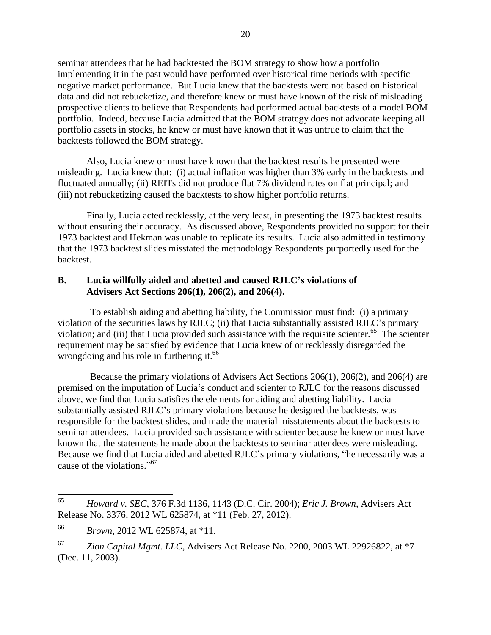seminar attendees that he had backtested the BOM strategy to show how a portfolio implementing it in the past would have performed over historical time periods with specific negative market performance. But Lucia knew that the backtests were not based on historical data and did not rebucketize, and therefore knew or must have known of the risk of misleading prospective clients to believe that Respondents had performed actual backtests of a model BOM portfolio. Indeed, because Lucia admitted that the BOM strategy does not advocate keeping all portfolio assets in stocks, he knew or must have known that it was untrue to claim that the backtests followed the BOM strategy.

Also, Lucia knew or must have known that the backtest results he presented were misleading. Lucia knew that: (i) actual inflation was higher than 3% early in the backtests and fluctuated annually; (ii) REITs did not produce flat 7% dividend rates on flat principal; and (iii) not rebucketizing caused the backtests to show higher portfolio returns.

Finally, Lucia acted recklessly, at the very least, in presenting the 1973 backtest results without ensuring their accuracy. As discussed above, Respondents provided no support for their 1973 backtest and Hekman was unable to replicate its results. Lucia also admitted in testimony that the 1973 backtest slides misstated the methodology Respondents purportedly used for the backtest.

#### **B. Lucia willfully aided and abetted and caused RJLC's violations of Advisers Act Sections 206(1), 206(2), and 206(4).**

To establish aiding and abetting liability, the Commission must find: (i) a primary violation of the securities laws by RJLC; (ii) that Lucia substantially assisted RJLC's primary violation; and (iii) that Lucia provided such assistance with the requisite scienter.<sup>65</sup> The scienter requirement may be satisfied by evidence that Lucia knew of or recklessly disregarded the wrongdoing and his role in furthering it.<sup>66</sup>

Because the primary violations of Advisers Act Sections 206(1), 206(2), and 206(4) are premised on the imputation of Lucia's conduct and scienter to RJLC for the reasons discussed above, we find that Lucia satisfies the elements for aiding and abetting liability. Lucia substantially assisted RJLC's primary violations because he designed the backtests, was responsible for the backtest slides, and made the material misstatements about the backtests to seminar attendees. Lucia provided such assistance with scienter because he knew or must have known that the statements he made about the backtests to seminar attendees were misleading. Because we find that Lucia aided and abetted RJLC's primary violations, "he necessarily was a cause of the violations."<sup>67</sup>

 $\overline{a}$ 

<sup>65</sup> *Howard v. SEC*, 376 F.3d 1136, 1143 (D.C. Cir. 2004); *Eric J. Brown*, Advisers Act Release No. 3376, 2012 WL 625874, at \*11 (Feb. 27, 2012).

<sup>66</sup> *Brown*, 2012 WL 625874, at \*11.

<sup>67</sup> *Zion Capital Mgmt. LLC*, Advisers Act Release No. 2200, 2003 WL 22926822, at \*7 (Dec. 11, 2003).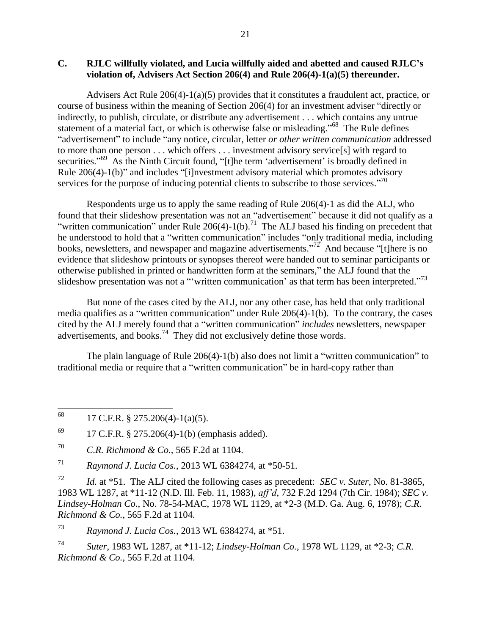## **C. RJLC willfully violated, and Lucia willfully aided and abetted and caused RJLC's violation of, Advisers Act Section 206(4) and Rule 206(4)-1(a)(5) thereunder.**

Advisers Act Rule 206(4)-1(a)(5) provides that it constitutes a fraudulent act, practice, or course of business within the meaning of Section 206(4) for an investment adviser "directly or indirectly, to publish, circulate, or distribute any advertisement . . . which contains any untrue statement of a material fact, or which is otherwise false or misleading."<sup>68</sup> The Rule defines "advertisement" to include "any notice, circular, letter *or other written communication* addressed to more than one person . . . which offers . . . investment advisory service[s] with regard to securities."<sup>69</sup> As the Ninth Circuit found, "[t]he term 'advertisement' is broadly defined in Rule 206(4)-1(b)" and includes "[i]nvestment advisory material which promotes advisory services for the purpose of inducing potential clients to subscribe to those services."<sup>70</sup>

Respondents urge us to apply the same reading of Rule 206(4)-1 as did the ALJ, who found that their slideshow presentation was not an "advertisement" because it did not qualify as a "written communication" under Rule  $206(4)$ -1(b).<sup>71</sup> The ALJ based his finding on precedent that he understood to hold that a "written communication" includes "only traditional media, including books, newsletters, and newspaper and magazine advertisements."<sup>72</sup> And because "[t]here is no evidence that slideshow printouts or synopses thereof were handed out to seminar participants or otherwise published in printed or handwritten form at the seminars," the ALJ found that the slideshow presentation was not a "'written communication' as that term has been interpreted."<sup>73</sup>

But none of the cases cited by the ALJ, nor any other case, has held that only traditional media qualifies as a "written communication" under Rule 206(4)-1(b). To the contrary, the cases cited by the ALJ merely found that a "written communication" *includes* newsletters, newspaper advertisements, and books.<sup>74</sup> They did not exclusively define those words.

The plain language of Rule 206(4)-1(b) also does not limit a "written communication" to traditional media or require that a "written communication" be in hard-copy rather than

<sup>72</sup> *Id.* at \*51. The ALJ cited the following cases as precedent: *SEC v. Suter*, No. 81-3865, 1983 WL 1287, at \*11-12 (N.D. Ill. Feb. 11, 1983), *aff'd*, 732 F.2d 1294 (7th Cir. 1984); *SEC v. Lindsey-Holman Co.*, No. 78-54-MAC, 1978 WL 1129, at \*2-3 (M.D. Ga. Aug. 6, 1978); *C.R. Richmond & Co.*, 565 F.2d at 1104.

<sup>73</sup> *Raymond J. Lucia Cos.*, 2013 WL 6384274, at \*51.

<sup>74</sup> *Suter*, 1983 WL 1287, at \*11-12; *Lindsey-Holman Co.*, 1978 WL 1129, at \*2-3; *C.R. Richmond & Co.*, 565 F.2d at 1104.

<sup>68</sup> <sup>68</sup> 17 C.F.R. § 275.206(4)-1(a)(5).

 $^{69}$  17 C.F.R. § 275.206(4)-1(b) (emphasis added).

<sup>70</sup> *C.R. Richmond & Co.*, 565 F.2d at 1104.

<sup>71</sup> *Raymond J. Lucia Cos.*, 2013 WL 6384274, at \*50-51.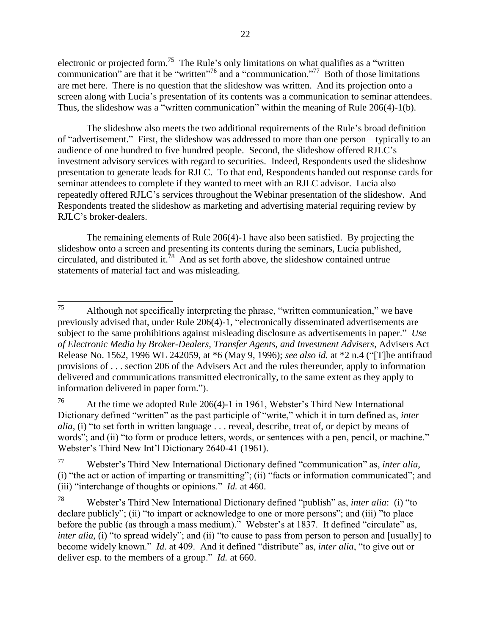electronic or projected form.<sup>75</sup> The Rule's only limitations on what qualifies as a "written" communication" are that it be "written"<sup>76</sup> and a "communication."<sup>77</sup> Both of those limitations are met here. There is no question that the slideshow was written. And its projection onto a screen along with Lucia's presentation of its contents was a communication to seminar attendees. Thus, the slideshow was a "written communication" within the meaning of Rule 206(4)-1(b).

The slideshow also meets the two additional requirements of the Rule's broad definition of "advertisement." First, the slideshow was addressed to more than one person—typically to an audience of one hundred to five hundred people. Second, the slideshow offered RJLC's investment advisory services with regard to securities. Indeed, Respondents used the slideshow presentation to generate leads for RJLC. To that end, Respondents handed out response cards for seminar attendees to complete if they wanted to meet with an RJLC advisor. Lucia also repeatedly offered RJLC's services throughout the Webinar presentation of the slideshow. And Respondents treated the slideshow as marketing and advertising material requiring review by RJLC's broker-dealers.

The remaining elements of Rule 206(4)-1 have also been satisfied. By projecting the slideshow onto a screen and presenting its contents during the seminars, Lucia published, circulated, and distributed it.<sup>78</sup> And as set forth above, the slideshow contained untrue statements of material fact and was misleading.

<sup>76</sup> At the time we adopted Rule 206(4)-1 in 1961, Webster's Third New International Dictionary defined "written" as the past participle of "write," which it in turn defined as, *inter alia*, (i) "to set forth in written language . . . reveal, describe, treat of, or depict by means of words"; and (ii) "to form or produce letters, words, or sentences with a pen, pencil, or machine." Webster's Third New Int'l Dictionary 2640-41 (1961).

<sup>75</sup> Although not specifically interpreting the phrase, "written communication," we have previously advised that, under Rule 206(4)-1, "electronically disseminated advertisements are subject to the same prohibitions against misleading disclosure as advertisements in paper." *Use of Electronic Media by Broker-Dealers, Transfer Agents, and Investment Advisers*, Advisers Act Release No. 1562, 1996 WL 242059, at \*6 (May 9, 1996); *see also id.* at \*2 n.4 ("[T]he antifraud provisions of . . . section 206 of the Advisers Act and the rules thereunder, apply to information delivered and communications transmitted electronically, to the same extent as they apply to information delivered in paper form.").

<sup>77</sup> Webster's Third New International Dictionary defined "communication" as, *inter alia*, (i) "the act or action of imparting or transmitting"; (ii) "facts or information communicated"; and (iii) "interchange of thoughts or opinions." *Id.* at 460.

<sup>78</sup> Webster's Third New International Dictionary defined "publish" as, *inter alia*: (i) "to declare publicly"; (ii) "to impart or acknowledge to one or more persons"; and (iii) "to place before the public (as through a mass medium)." Webster's at 1837. It defined "circulate" as, *inter alia*, (i) "to spread widely"; and (ii) "to cause to pass from person to person and [usually] to become widely known." *Id.* at 409. And it defined "distribute" as, *inter alia*, "to give out or deliver esp. to the members of a group." *Id.* at 660.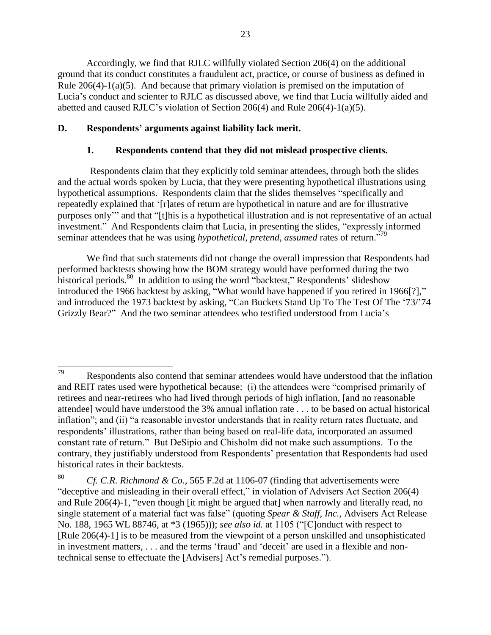Accordingly, we find that RJLC willfully violated Section 206(4) on the additional ground that its conduct constitutes a fraudulent act, practice, or course of business as defined in Rule  $206(4)-1(a)(5)$ . And because that primary violation is premised on the imputation of Lucia's conduct and scienter to RJLC as discussed above, we find that Lucia willfully aided and abetted and caused RJLC's violation of Section 206(4) and Rule 206(4)-1(a)(5).

## **D. Respondents' arguments against liability lack merit.**

# **1. Respondents contend that they did not mislead prospective clients.**

Respondents claim that they explicitly told seminar attendees, through both the slides and the actual words spoken by Lucia, that they were presenting hypothetical illustrations using hypothetical assumptions. Respondents claim that the slides themselves "specifically and repeatedly explained that '[r]ates of return are hypothetical in nature and are for illustrative purposes only'" and that "[t]his is a hypothetical illustration and is not representative of an actual investment." And Respondents claim that Lucia, in presenting the slides, "expressly informed seminar attendees that he was using *hypothetical, pretend, assumed* rates of return."<sup>79</sup>

We find that such statements did not change the overall impression that Respondents had performed backtests showing how the BOM strategy would have performed during the two historical periods.<sup>80</sup> In addition to using the word "backtest," Respondents' slideshow introduced the 1966 backtest by asking, "What would have happened if you retired in 1966[?]," and introduced the 1973 backtest by asking, "Can Buckets Stand Up To The Test Of The '73/'74 Grizzly Bear?" And the two seminar attendees who testified understood from Lucia's

<sup>79</sup> Respondents also contend that seminar attendees would have understood that the inflation and REIT rates used were hypothetical because: (i) the attendees were "comprised primarily of retirees and near-retirees who had lived through periods of high inflation, [and no reasonable attendee] would have understood the 3% annual inflation rate . . . to be based on actual historical inflation"; and (ii) "a reasonable investor understands that in reality return rates fluctuate, and respondents' illustrations, rather than being based on real-life data, incorporated an assumed constant rate of return." But DeSipio and Chisholm did not make such assumptions. To the contrary, they justifiably understood from Respondents' presentation that Respondents had used historical rates in their backtests.

<sup>80</sup> *Cf. C.R. Richmond & Co.*, 565 F.2d at 1106-07 (finding that advertisements were "deceptive and misleading in their overall effect," in violation of Advisers Act Section 206(4) and Rule 206(4)-1, "even though [it might be argued that] when narrowly and literally read, no single statement of a material fact was false" (quoting *Spear & Staff, Inc.*, Advisers Act Release No. 188, 1965 WL 88746, at \*3 (1965))); *see also id.* at 1105 ("[C]onduct with respect to [Rule 206(4)-1] is to be measured from the viewpoint of a person unskilled and unsophisticated in investment matters, . . . and the terms 'fraud' and 'deceit' are used in a flexible and nontechnical sense to effectuate the [Advisers] Act's remedial purposes.").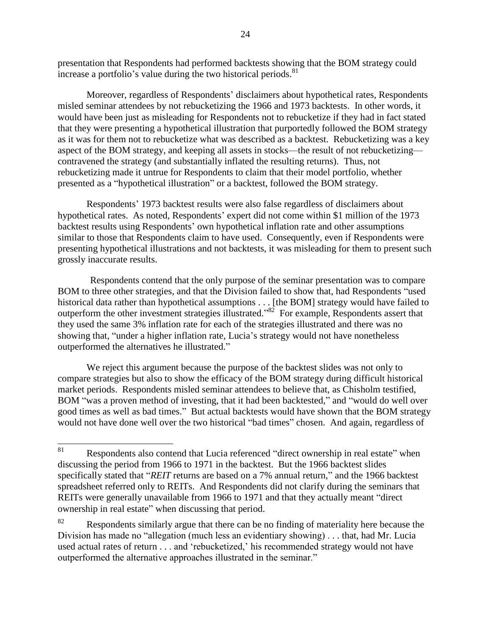presentation that Respondents had performed backtests showing that the BOM strategy could increase a portfolio's value during the two historical periods.<sup>81</sup>

Moreover, regardless of Respondents' disclaimers about hypothetical rates, Respondents misled seminar attendees by not rebucketizing the 1966 and 1973 backtests. In other words, it would have been just as misleading for Respondents not to rebucketize if they had in fact stated that they were presenting a hypothetical illustration that purportedly followed the BOM strategy as it was for them not to rebucketize what was described as a backtest. Rebucketizing was a key aspect of the BOM strategy, and keeping all assets in stocks—the result of not rebucketizing contravened the strategy (and substantially inflated the resulting returns). Thus, not rebucketizing made it untrue for Respondents to claim that their model portfolio, whether presented as a "hypothetical illustration" or a backtest, followed the BOM strategy.

Respondents' 1973 backtest results were also false regardless of disclaimers about hypothetical rates. As noted, Respondents' expert did not come within \$1 million of the 1973 backtest results using Respondents' own hypothetical inflation rate and other assumptions similar to those that Respondents claim to have used. Consequently, even if Respondents were presenting hypothetical illustrations and not backtests, it was misleading for them to present such grossly inaccurate results.

Respondents contend that the only purpose of the seminar presentation was to compare BOM to three other strategies, and that the Division failed to show that, had Respondents "used historical data rather than hypothetical assumptions . . . [the BOM] strategy would have failed to outperform the other investment strategies illustrated."<sup>82</sup> For example, Respondents assert that they used the same 3% inflation rate for each of the strategies illustrated and there was no showing that, "under a higher inflation rate, Lucia's strategy would not have nonetheless outperformed the alternatives he illustrated."

We reject this argument because the purpose of the backtest slides was not only to compare strategies but also to show the efficacy of the BOM strategy during difficult historical market periods. Respondents misled seminar attendees to believe that, as Chisholm testified, BOM "was a proven method of investing, that it had been backtested," and "would do well over good times as well as bad times." But actual backtests would have shown that the BOM strategy would not have done well over the two historical "bad times" chosen. And again, regardless of

<sup>81</sup> Respondents also contend that Lucia referenced "direct ownership in real estate" when discussing the period from 1966 to 1971 in the backtest. But the 1966 backtest slides specifically stated that "*REIT* returns are based on a 7% annual return," and the 1966 backtest spreadsheet referred only to REITs. And Respondents did not clarify during the seminars that REITs were generally unavailable from 1966 to 1971 and that they actually meant "direct ownership in real estate" when discussing that period.

 $82$  Respondents similarly argue that there can be no finding of materiality here because the Division has made no "allegation (much less an evidentiary showing) . . . that, had Mr. Lucia used actual rates of return . . . and 'rebucketized,' his recommended strategy would not have outperformed the alternative approaches illustrated in the seminar."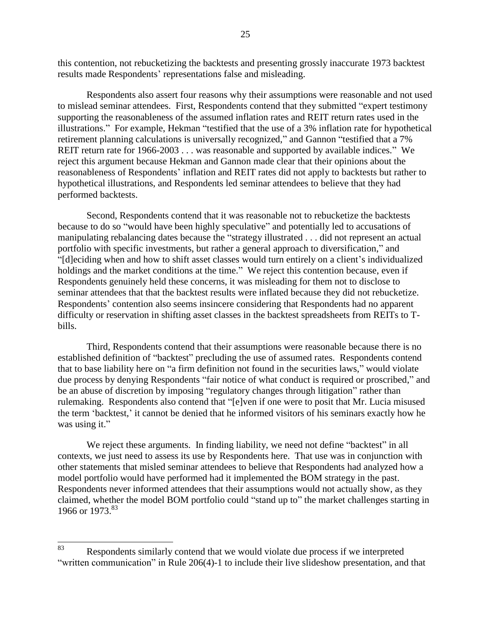this contention, not rebucketizing the backtests and presenting grossly inaccurate 1973 backtest results made Respondents' representations false and misleading.

Respondents also assert four reasons why their assumptions were reasonable and not used to mislead seminar attendees. First, Respondents contend that they submitted "expert testimony supporting the reasonableness of the assumed inflation rates and REIT return rates used in the illustrations." For example, Hekman "testified that the use of a 3% inflation rate for hypothetical retirement planning calculations is universally recognized," and Gannon "testified that a 7% REIT return rate for 1966-2003 . . . was reasonable and supported by available indices." We reject this argument because Hekman and Gannon made clear that their opinions about the reasonableness of Respondents' inflation and REIT rates did not apply to backtests but rather to hypothetical illustrations, and Respondents led seminar attendees to believe that they had performed backtests.

Second, Respondents contend that it was reasonable not to rebucketize the backtests because to do so "would have been highly speculative" and potentially led to accusations of manipulating rebalancing dates because the "strategy illustrated . . . did not represent an actual portfolio with specific investments, but rather a general approach to diversification," and "[d]eciding when and how to shift asset classes would turn entirely on a client's individualized holdings and the market conditions at the time." We reject this contention because, even if Respondents genuinely held these concerns, it was misleading for them not to disclose to seminar attendees that that the backtest results were inflated because they did not rebucketize. Respondents' contention also seems insincere considering that Respondents had no apparent difficulty or reservation in shifting asset classes in the backtest spreadsheets from REITs to Tbills.

Third, Respondents contend that their assumptions were reasonable because there is no established definition of "backtest" precluding the use of assumed rates. Respondents contend that to base liability here on "a firm definition not found in the securities laws," would violate due process by denying Respondents "fair notice of what conduct is required or proscribed," and be an abuse of discretion by imposing "regulatory changes through litigation" rather than rulemaking. Respondents also contend that "[e]ven if one were to posit that Mr. Lucia misused the term 'backtest,' it cannot be denied that he informed visitors of his seminars exactly how he was using it."

We reject these arguments. In finding liability, we need not define "backtest" in all contexts, we just need to assess its use by Respondents here. That use was in conjunction with other statements that misled seminar attendees to believe that Respondents had analyzed how a model portfolio would have performed had it implemented the BOM strategy in the past. Respondents never informed attendees that their assumptions would not actually show, as they claimed, whether the model BOM portfolio could "stand up to" the market challenges starting in 1966 or 1973.<sup>83</sup>

<sup>83</sup> Respondents similarly contend that we would violate due process if we interpreted "written communication" in Rule 206(4)-1 to include their live slideshow presentation, and that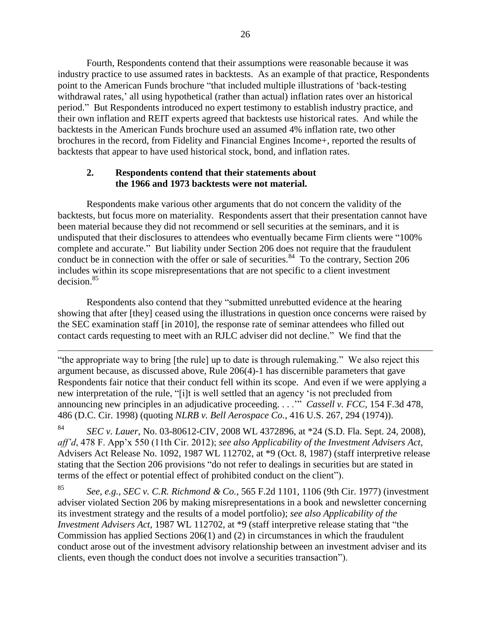Fourth, Respondents contend that their assumptions were reasonable because it was industry practice to use assumed rates in backtests. As an example of that practice, Respondents point to the American Funds brochure "that included multiple illustrations of 'back-testing withdrawal rates,' all using hypothetical (rather than actual) inflation rates over an historical period." But Respondents introduced no expert testimony to establish industry practice, and their own inflation and REIT experts agreed that backtests use historical rates. And while the backtests in the American Funds brochure used an assumed 4% inflation rate, two other brochures in the record, from Fidelity and Financial Engines Income+, reported the results of backtests that appear to have used historical stock, bond, and inflation rates.

## **2. Respondents contend that their statements about the 1966 and 1973 backtests were not material.**

Respondents make various other arguments that do not concern the validity of the backtests, but focus more on materiality. Respondents assert that their presentation cannot have been material because they did not recommend or sell securities at the seminars, and it is undisputed that their disclosures to attendees who eventually became Firm clients were "100% complete and accurate." But liability under Section 206 does not require that the fraudulent conduct be in connection with the offer or sale of securities.<sup>84</sup> To the contrary, Section 206 includes within its scope misrepresentations that are not specific to a client investment decision.<sup>85</sup>

Respondents also contend that they "submitted unrebutted evidence at the hearing showing that after [they] ceased using the illustrations in question once concerns were raised by the SEC examination staff [in 2010], the response rate of seminar attendees who filled out contact cards requesting to meet with an RJLC adviser did not decline." We find that the

l "the appropriate way to bring [the rule] up to date is through rulemaking." We also reject this argument because, as discussed above, Rule 206(4)-1 has discernible parameters that gave Respondents fair notice that their conduct fell within its scope. And even if we were applying a new interpretation of the rule, "[i]t is well settled that an agency 'is not precluded from announcing new principles in an adjudicative proceeding. . . .'" *Cassell v. FCC*, 154 F.3d 478, 486 (D.C. Cir. 1998) (quoting *NLRB v. Bell Aerospace Co.*, 416 U.S. 267, 294 (1974)).

<sup>84</sup> *SEC v. Lauer*, No. 03-80612-CIV, 2008 WL 4372896, at \*24 (S.D. Fla. Sept. 24, 2008), *aff'd*, 478 F. App'x 550 (11th Cir. 2012); *see also Applicability of the Investment Advisers Act*, Advisers Act Release No. 1092, 1987 WL 112702, at \*9 (Oct. 8, 1987) (staff interpretive release stating that the Section 206 provisions "do not refer to dealings in securities but are stated in terms of the effect or potential effect of prohibited conduct on the client").

<sup>85</sup> *See, e.g., SEC v. C.R. Richmond & Co.*, 565 F.2d 1101, 1106 (9th Cir. 1977) (investment adviser violated Section 206 by making misrepresentations in a book and newsletter concerning its investment strategy and the results of a model portfolio); *see also Applicability of the Investment Advisers Act*, 1987 WL 112702, at \*9 (staff interpretive release stating that "the Commission has applied Sections 206(1) and (2) in circumstances in which the fraudulent conduct arose out of the investment advisory relationship between an investment adviser and its clients, even though the conduct does not involve a securities transaction").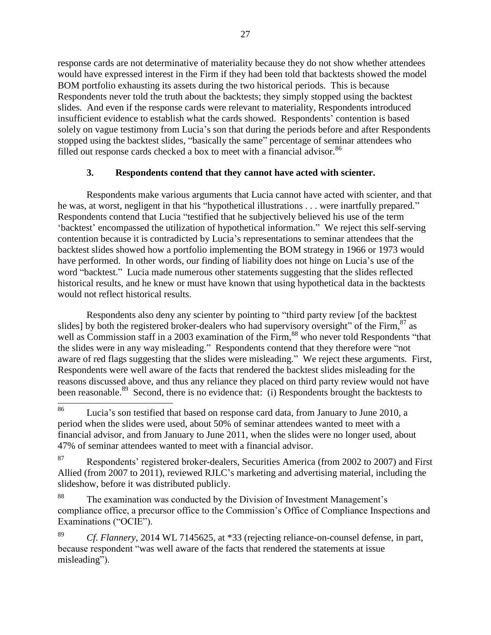response cards are not determinative of materiality because they do not show whether attendees would have expressed interest in the Firm if they had been told that backtests showed the model BOM portfolio exhausting its assets during the two historical periods. This is because Respondents never told the truth about the backtests; they simply stopped using the backtest slides. And even if the response cards were relevant to materiality, Respondents introduced insufficient evidence to establish what the cards showed. Respondents' contention is based solely on vague testimony from Lucia's son that during the periods before and after Respondents stopped using the backtest slides, "basically the same" percentage of seminar attendees who filled out response cards checked a box to meet with a financial advisor.<sup>86</sup>

# **3. Respondents contend that they cannot have acted with scienter.**

Respondents make various arguments that Lucia cannot have acted with scienter, and that he was, at worst, negligent in that his "hypothetical illustrations . . . were inartfully prepared." Respondents contend that Lucia "testified that he subjectively believed his use of the term 'backtest' encompassed the utilization of hypothetical information." We reject this self-serving contention because it is contradicted by Lucia's representations to seminar attendees that the backtest slides showed how a portfolio implementing the BOM strategy in 1966 or 1973 would have performed. In other words, our finding of liability does not hinge on Lucia's use of the word "backtest." Lucia made numerous other statements suggesting that the slides reflected historical results, and he knew or must have known that using hypothetical data in the backtests would not reflect historical results.

Respondents also deny any scienter by pointing to "third party review [of the backtest slides] by both the registered broker-dealers who had supervisory oversight" of the Firm,  $87$  as well as Commission staff in a 2003 examination of the Firm,<sup>88</sup> who never told Respondents "that the slides were in any way misleading." Respondents contend that they therefore were "not aware of red flags suggesting that the slides were misleading." We reject these arguments. First, Respondents were well aware of the facts that rendered the backtest slides misleading for the reasons discussed above, and thus any reliance they placed on third party review would not have been reasonable.<sup>89</sup> Second, there is no evidence that: (i) Respondents brought the backtests to

<sup>88</sup> The examination was conducted by the Division of Investment Management's compliance office, a precursor office to the Commission's Office of Compliance Inspections and Examinations ("OCIE").

<sup>89</sup> *Cf. Flannery*, 2014 WL 7145625, at \*33 (rejecting reliance-on-counsel defense, in part, because respondent "was well aware of the facts that rendered the statements at issue misleading").

<sup>86</sup> Lucia's son testified that based on response card data, from January to June 2010, a period when the slides were used, about 50% of seminar attendees wanted to meet with a financial advisor, and from January to June 2011, when the slides were no longer used, about 47% of seminar attendees wanted to meet with a financial advisor.

<sup>&</sup>lt;sup>87</sup> Respondents' registered broker-dealers, Securities America (from 2002 to 2007) and First Allied (from 2007 to 2011), reviewed RJLC's marketing and advertising material, including the slideshow, before it was distributed publicly.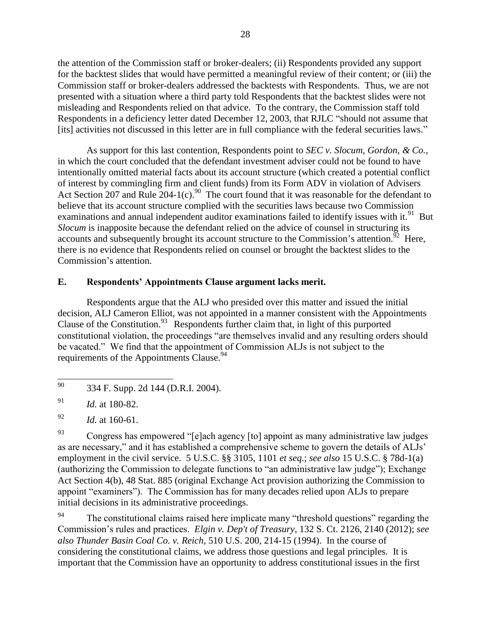the attention of the Commission staff or broker-dealers; (ii) Respondents provided any support for the backtest slides that would have permitted a meaningful review of their content; or (iii) the Commission staff or broker-dealers addressed the backtests with Respondents. Thus, we are not presented with a situation where a third party told Respondents that the backtest slides were not misleading and Respondents relied on that advice. To the contrary, the Commission staff told Respondents in a deficiency letter dated December 12, 2003, that RJLC "should not assume that [its] activities not discussed in this letter are in full compliance with the federal securities laws."

As support for this last contention, Respondents point to *SEC v. Slocum, Gordon, & Co.*, in which the court concluded that the defendant investment adviser could not be found to have intentionally omitted material facts about its account structure (which created a potential conflict of interest by commingling firm and client funds) from its Form ADV in violation of Advisers Act Section 207 and Rule 204-1(c).<sup>90</sup> The court found that it was reasonable for the defendant to believe that its account structure complied with the securities laws because two Commission examinations and annual independent auditor examinations failed to identify issues with it.<sup>91</sup> But *Slocum* is inapposite because the defendant relied on the advice of counsel in structuring its accounts and subsequently brought its account structure to the Commission's attention.  $\overline{5}^2$  Here, there is no evidence that Respondents relied on counsel or brought the backtest slides to the Commission's attention.

## **E. Respondents' Appointments Clause argument lacks merit.**

Respondents argue that the ALJ who presided over this matter and issued the initial decision, ALJ Cameron Elliot, was not appointed in a manner consistent with the Appointments Clause of the Constitution.<sup>93</sup> Respondents further claim that, in light of this purported constitutional violation, the proceedings "are themselves invalid and any resulting orders should be vacated." We find that the appointment of Commission ALJs is not subject to the requirements of the Appointments Clause.<sup>94</sup>

90 <sup>90</sup> 334 F. Supp. 2d 144 (D.R.I. 2004).

 $^{93}$  Congress has empowered "[e]ach agency [to] appoint as many administrative law judges as are necessary," and it has established a comprehensive scheme to govern the details of ALJs' employment in the civil service. 5 U.S.C. §§ 3105, 1101 *et seq*.; *see also* 15 U.S.C. § 78d-1(a) (authorizing the Commission to delegate functions to "an administrative law judge"); Exchange Act Section 4(b), 48 Stat. 885 (original Exchange Act provision authorizing the Commission to appoint "examiners"). The Commission has for many decades relied upon ALJs to prepare initial decisions in its administrative proceedings.

<sup>94</sup> The constitutional claims raised here implicate many "threshold questions" regarding the Commission's rules and practices. *Elgin v. Dep't of Treasury*, 132 S. Ct. 2126, 2140 (2012); *see also Thunder Basin Coal Co. v. Reich*, 510 U.S. 200, 214-15 (1994). In the course of considering the constitutional claims, we address those questions and legal principles. It is important that the Commission have an opportunity to address constitutional issues in the first

<sup>91</sup> *Id.* at 180-82.

<sup>92</sup> *Id.* at 160-61.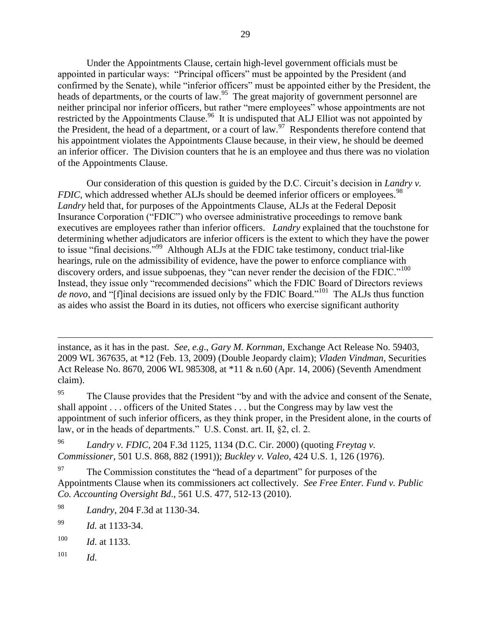Under the Appointments Clause, certain high-level government officials must be appointed in particular ways: "Principal officers" must be appointed by the President (and confirmed by the Senate), while "inferior officers" must be appointed either by the President, the heads of departments, or the courts of law.<sup>95</sup> The great majority of government personnel are neither principal nor inferior officers, but rather "mere employees" whose appointments are not restricted by the Appointments Clause.<sup>96</sup> It is undisputed that ALJ Elliot was not appointed by the President, the head of a department, or a court of law.<sup>97</sup> Respondents therefore contend that his appointment violates the Appointments Clause because, in their view, he should be deemed an inferior officer. The Division counters that he is an employee and thus there was no violation of the Appointments Clause.

Our consideration of this question is guided by the D.C. Circuit's decision in *Landry v. FDIC*, which addressed whether ALJs should be deemed inferior officers or employees.<sup>9</sup> *Landry* held that, for purposes of the Appointments Clause, ALJs at the Federal Deposit Insurance Corporation ("FDIC") who oversee administrative proceedings to remove bank executives are employees rather than inferior officers. *Landry* explained that the touchstone for determining whether adjudicators are inferior officers is the extent to which they have the power to issue "final decisions."<sup>99</sup> Although ALJs at the FDIC take testimony, conduct trial-like hearings, rule on the admissibility of evidence, have the power to enforce compliance with discovery orders, and issue subpoenas, they "can never render the decision of the FDIC."<sup>100</sup> Instead, they issue only "recommended decisions" which the FDIC Board of Directors reviews *de novo*, and "[f]inal decisions are issued only by the FDIC Board."<sup>101</sup> The ALJs thus function as aides who assist the Board in its duties, not officers who exercise significant authority

instance, as it has in the past. *See, e.g*., *Gary M. Kornman*, Exchange Act Release No. 59403, 2009 WL 367635, at \*12 (Feb. 13, 2009) (Double Jeopardy claim); *Vladen Vindman*, Securities Act Release No. 8670, 2006 WL 985308, at \*11 & n.60 (Apr. 14, 2006) (Seventh Amendment claim).

<sup>95</sup> The Clause provides that the President "by and with the advice and consent of the Senate, shall appoint . . . officers of the United States . . . but the Congress may by law vest the appointment of such inferior officers, as they think proper, in the President alone, in the courts of law, or in the heads of departments." U.S. Const. art. II, §2, cl. 2.

<sup>96</sup> *Landry v. FDIC*, 204 F.3d 1125, 1134 (D.C. Cir. 2000) (quoting *Freytag v. Commissioner*, 501 U.S. 868, 882 (1991)); *Buckley v. Valeo*, 424 U.S. 1, 126 (1976).

The Commission constitutes the "head of a department" for purposes of the Appointments Clause when its commissioners act collectively. *See Free Enter. Fund v. Public Co. Accounting Oversight Bd*., 561 U.S. 477, 512-13 (2010).

<sup>101</sup> *Id*.

 $\overline{a}$ 

<sup>98</sup> *Landry*, 204 F.3d at 1130-34.

<sup>99</sup> *Id.* at 1133-34.

<sup>100</sup> *Id*. at 1133.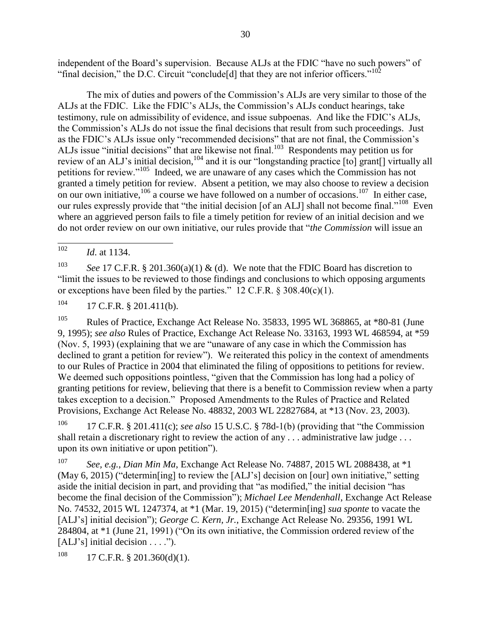independent of the Board's supervision. Because ALJs at the FDIC "have no such powers" of "final decision," the D.C. Circuit "conclude [d] that they are not inferior officers."<sup>102</sup>

The mix of duties and powers of the Commission's ALJs are very similar to those of the ALJs at the FDIC. Like the FDIC's ALJs, the Commission's ALJs conduct hearings, take testimony, rule on admissibility of evidence, and issue subpoenas. And like the FDIC's ALJs, the Commission's ALJs do not issue the final decisions that result from such proceedings. Just as the FDIC's ALJs issue only "recommended decisions" that are not final, the Commission's ALJs issue "initial decisions" that are likewise not final.<sup>103</sup> Respondents may petition us for review of an ALJ's initial decision,<sup>104</sup> and it is our "longstanding practice [to] grant[] virtually all petitions for review."<sup>105</sup> Indeed, we are unaware of any cases which the Commission has not granted a timely petition for review. Absent a petition, we may also choose to review a decision on our own initiative,  $106$  a course we have followed on a number of occasions.  $107$  In either case, our rules expressly provide that "the initial decision [of an ALJ] shall not become final."<sup>108</sup> Even where an aggrieved person fails to file a timely petition for review of an initial decision and we do not order review on our own initiative, our rules provide that "*the Commission* will issue an

<sup>103</sup> *See* 17 C.F.R. § 201.360(a)(1) & (d). We note that the FDIC Board has discretion to "limit the issues to be reviewed to those findings and conclusions to which opposing arguments or exceptions have been filed by the parties." 12 C.F.R.  $\S 308.40(c)(1)$ .

 $104$  17 C.F.R. § 201.411(b).

<sup>105</sup> Rules of Practice, Exchange Act Release No. 35833, 1995 WL 368865, at \*80-81 (June 9, 1995); *see also* Rules of Practice, Exchange Act Release No. 33163, 1993 WL 468594, at \*59 (Nov. 5, 1993) (explaining that we are "unaware of any case in which the Commission has declined to grant a petition for review"). We reiterated this policy in the context of amendments to our Rules of Practice in 2004 that eliminated the filing of oppositions to petitions for review. We deemed such oppositions pointless, "given that the Commission has long had a policy of granting petitions for review, believing that there is a benefit to Commission review when a party takes exception to a decision." Proposed Amendments to the Rules of Practice and Related Provisions, Exchange Act Release No. 48832, 2003 WL 22827684, at \*13 (Nov. 23, 2003).

<sup>106</sup> 17 C.F.R. § 201.411(c); *see also* 15 U.S.C. § 78d-1(b) (providing that "the Commission shall retain a discretionary right to review the action of any ... administrative law judge ... upon its own initiative or upon petition").

<sup>107</sup> *See, e.g.*, *Dian Min Ma*, Exchange Act Release No. 74887, 2015 WL 2088438, at \*1 (May 6, 2015) ("determin[ing] to review the [ALJ's] decision on [our] own initiative," setting aside the initial decision in part, and providing that "as modified," the initial decision "has become the final decision of the Commission"); *Michael Lee Mendenhall*, Exchange Act Release No. 74532, 2015 WL 1247374, at \*1 (Mar. 19, 2015) ("determin[ing] *sua sponte* to vacate the [ALJ's] initial decision"); *George C. Kern, Jr.*, Exchange Act Release No. 29356, 1991 WL 284804, at \*1 (June 21, 1991) ("On its own initiative, the Commission ordered review of the [ALJ's] initial decision . . . .").

 $108$  17 C.F.R. § 201.360(d)(1).

<sup>102</sup> *Id.* at 1134.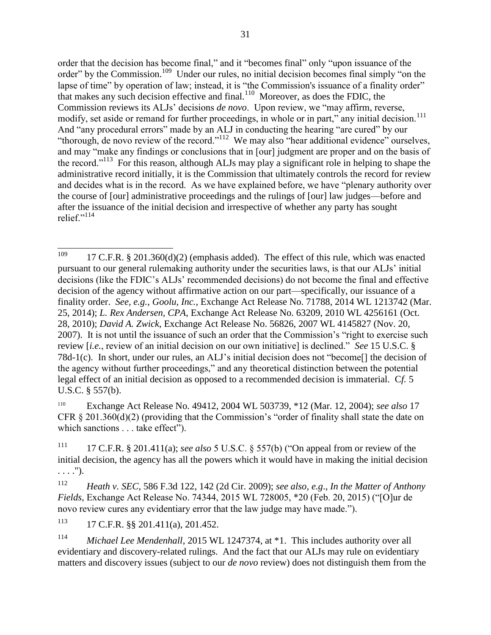order that the decision has become final," and it "becomes final" only "upon issuance of the order" by the Commission.<sup>109</sup> Under our rules, no initial decision becomes final simply "on the lapse of time" by operation of law; instead, it is "the Commission's issuance of a finality order" that makes any such decision effective and final.<sup>110</sup> Moreover, as does the FDIC, the Commission reviews its ALJs' decisions *de novo*. Upon review, we "may affirm, reverse, modify, set aside or remand for further proceedings, in whole or in part," any initial decision.<sup>111</sup> And "any procedural errors" made by an ALJ in conducting the hearing "are cured" by our "thorough, de novo review of the record."<sup>112</sup> We may also "hear additional evidence" ourselves, and may "make any findings or conclusions that in [our] judgment are proper and on the basis of the record."<sup>113</sup> For this reason, although ALJs may play a significant role in helping to shape the administrative record initially, it is the Commission that ultimately controls the record for review and decides what is in the record. As we have explained before, we have "plenary authority over the course of [our] administrative proceedings and the rulings of [our] law judges—before and after the issuance of the initial decision and irrespective of whether any party has sought relief $\cdot$ <sup>114</sup>

<sup>110</sup> Exchange Act Release No. 49412, 2004 WL 503739, \*12 (Mar. 12, 2004); *see also* 17 CFR  $\S 201.360(d)(2)$  (providing that the Commission's "order of finality shall state the date on which sanctions . . . take effect").

<sup>111</sup> 17 C.F.R. § 201.411(a); *see also* 5 U.S.C. § 557(b) ("On appeal from or review of the initial decision, the agency has all the powers which it would have in making the initial decision  $\ldots$ .").

<sup>112</sup> *Heath v. SEC*, 586 F.3d 122, 142 (2d Cir. 2009); *see also, e.g*., *In the Matter of Anthony Fields*, Exchange Act Release No. 74344, 2015 WL 728005, \*20 (Feb. 20, 2015) ("[O]ur de novo review cures any evidentiary error that the law judge may have made.").

113 17 C.F.R. §§ 201.411(a), 201.452.

<sup>114</sup> *Michael Lee Mendenhall*, 2015 WL 1247374, at \*1. This includes authority over all evidentiary and discovery-related rulings. And the fact that our ALJs may rule on evidentiary matters and discovery issues (subject to our *de novo* review) does not distinguish them from the

<sup>109</sup> 17 C.F.R.  $\S 201.360(d)(2)$  (emphasis added). The effect of this rule, which was enacted pursuant to our general rulemaking authority under the securities laws, is that our ALJs' initial decisions (like the FDIC's ALJs' recommended decisions) do not become the final and effective decision of the agency without affirmative action on our part—specifically, our issuance of a finality order. *See, e.g.*, *Goolu, Inc.*, Exchange Act Release No. 71788, 2014 WL 1213742 (Mar. 25, 2014); *L. Rex Andersen, CPA*, Exchange Act Release No. 63209, 2010 WL 4256161 (Oct. 28, 2010); *David A. Zwick*, Exchange Act Release No. 56826, 2007 WL 4145827 (Nov. 20, 2007). It is not until the issuance of such an order that the Commission's "right to exercise such review [*i.e.*, review of an initial decision on our own initiative] is declined." *See* 15 U.S.C. § 78d-1(c). In short, under our rules, an ALJ's initial decision does not "become[] the decision of the agency without further proceedings," and any theoretical distinction between the potential legal effect of an initial decision as opposed to a recommended decision is immaterial. C*f.* 5 U.S.C. § 557(b).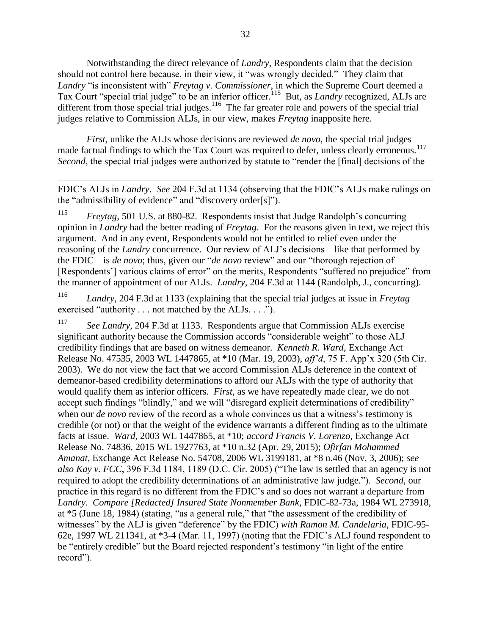Notwithstanding the direct relevance of *Landry*, Respondents claim that the decision should not control here because, in their view, it "was wrongly decided." They claim that *Landry* "is inconsistent with" *Freytag v. Commissioner*, in which the Supreme Court deemed a Tax Court "special trial judge" to be an inferior officer. 115 But, as *Landry* recognized, ALJs are different from those special trial judges.<sup>116</sup> The far greater role and powers of the special trial judges relative to Commission ALJs, in our view, makes *Freytag* inapposite here.

*First*, unlike the ALJs whose decisions are reviewed *de novo*, the special trial judges made factual findings to which the Tax Court was required to defer, unless clearly erroneous.<sup>117</sup> *Second*, the special trial judges were authorized by statute to "render the [final] decisions of the

FDIC's ALJs in *Landry*. *See* 204 F.3d at 1134 (observing that the FDIC's ALJs make rulings on the "admissibility of evidence" and "discovery order[s]").

 $\overline{a}$ 

<sup>115</sup> *Freytag*, 501 U.S. at 880-82. Respondents insist that Judge Randolph's concurring opinion in *Landry* had the better reading of *Freytag*. For the reasons given in text, we reject this argument. And in any event, Respondents would not be entitled to relief even under the reasoning of the *Landry* concurrence. Our review of ALJ's decisions—like that performed by the FDIC—is *de novo*; thus, given our "*de novo* review" and our "thorough rejection of [Respondents'] various claims of error" on the merits, Respondents "suffered no prejudice" from the manner of appointment of our ALJs. *Landry*, 204 F.3d at 1144 (Randolph, J., concurring).

<sup>116</sup> *Landry*, 204 F.3d at 1133 (explaining that the special trial judges at issue in *Freytag*  exercised "authority . . . not matched by the ALJs. . . .").

<sup>117</sup> *See Landry*, 204 F.3d at 1133. Respondents argue that Commission ALJs exercise significant authority because the Commission accords "considerable weight" to those ALJ credibility findings that are based on witness demeanor. *Kenneth R. Ward*, Exchange Act Release No. 47535, 2003 WL 1447865, at \*10 (Mar. 19, 2003), *aff'd*, 75 F. App'x 320 (5th Cir. 2003). We do not view the fact that we accord Commission ALJs deference in the context of demeanor-based credibility determinations to afford our ALJs with the type of authority that would qualify them as inferior officers. *First*, as we have repeatedly made clear, we do not accept such findings "blindly," and we will "disregard explicit determinations of credibility" when our *de novo* review of the record as a whole convinces us that a witness's testimony is credible (or not) or that the weight of the evidence warrants a different finding as to the ultimate facts at issue. *Ward*, 2003 WL 1447865, at \*10; *accord Francis V. Lorenzo*, Exchange Act Release No. 74836, 2015 WL 1927763, at \*10 n.32 (Apr. 29, 2015); *Ofirfan Mohammed Amanat*, Exchange Act Release No. 54708, 2006 WL 3199181, at \*8 n.46 (Nov. 3, 2006); *see also Kay v. FCC*, 396 F.3d 1184, 1189 (D.C. Cir. 2005) ("The law is settled that an agency is not required to adopt the credibility determinations of an administrative law judge."). *Second*, our practice in this regard is no different from the FDIC's and so does not warrant a departure from *Landry*. *Compare [Redacted] Insured State Nonmember Bank*, FDIC-82-73a, 1984 WL 273918, at \*5 (June 18, 1984) (stating, "as a general rule," that "the assessment of the credibility of witnesses" by the ALJ is given "deference" by the FDIC) *with Ramon M. Candelaria*, FDIC-95- 62e, 1997 WL 211341, at \*3-4 (Mar. 11, 1997) (noting that the FDIC's ALJ found respondent to be "entirely credible" but the Board rejected respondent's testimony "in light of the entire record").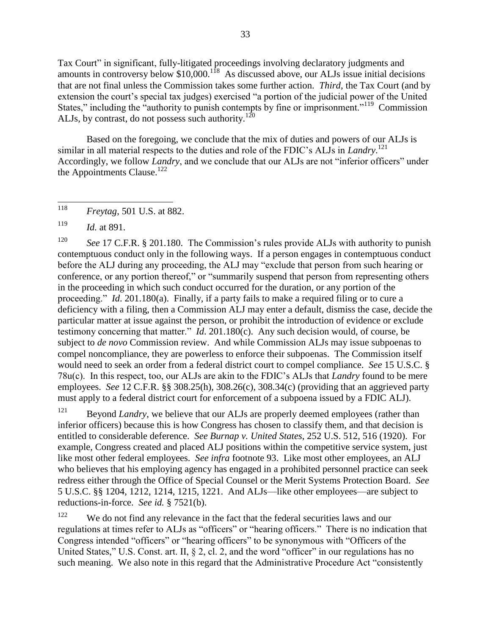Tax Court" in significant, fully-litigated proceedings involving declaratory judgments and amounts in controversy below  $$10,000$ .<sup>118</sup> As discussed above, our ALJs issue initial decisions that are not final unless the Commission takes some further action. *Third*, the Tax Court (and by extension the court's special tax judges) exercised "a portion of the judicial power of the United States," including the "authority to punish contempts by fine or imprisonment."<sup>119</sup> Commission ALJs, by contrast, do not possess such authority.<sup>120</sup>

Based on the foregoing, we conclude that the mix of duties and powers of our ALJs is similar in all material respects to the duties and role of the FDIC's ALJs in *Landry*.<sup>121</sup> Accordingly, we follow *Landry*, and we conclude that our ALJs are not "inferior officers" under the Appointments Clause.<sup>122</sup>

<sup>120</sup> *See* 17 C.F.R. § 201.180. The Commission's rules provide ALJs with authority to punish contemptuous conduct only in the following ways. If a person engages in contemptuous conduct before the ALJ during any proceeding, the ALJ may "exclude that person from such hearing or conference, or any portion thereof," or "summarily suspend that person from representing others in the proceeding in which such conduct occurred for the duration, or any portion of the proceeding." *Id*. 201.180(a). Finally, if a party fails to make a required filing or to cure a deficiency with a filing, then a Commission ALJ may enter a default, dismiss the case, decide the particular matter at issue against the person, or prohibit the introduction of evidence or exclude testimony concerning that matter." *Id*. 201.180(c). Any such decision would, of course, be subject to *de novo* Commission review. And while Commission ALJs may issue subpoenas to compel noncompliance, they are powerless to enforce their subpoenas. The Commission itself would need to seek an order from a federal district court to compel compliance. *See* 15 U.S.C. § 78u(c). In this respect, too, our ALJs are akin to the FDIC's ALJs that *Landry* found to be mere employees. *See* 12 C.F.R. §§ 308.25(h), 308.26(c), 308.34(c) (providing that an aggrieved party must apply to a federal district court for enforcement of a subpoena issued by a FDIC ALJ).

<sup>121</sup> Beyond *Landry*, we believe that our ALJs are properly deemed employees (rather than inferior officers) because this is how Congress has chosen to classify them, and that decision is entitled to considerable deference. *See Burnap v. United States*, 252 U.S. 512, 516 (1920). For example, Congress created and placed ALJ positions within the competitive service system, just like most other federal employees. *See infra* footnote 93. Like most other employees, an ALJ who believes that his employing agency has engaged in a prohibited personnel practice can seek redress either through the Office of Special Counsel or the Merit Systems Protection Board. *See*  5 U.S.C. §§ 1204, 1212, 1214, 1215, 1221. And ALJs—like other employees—are subject to reductions-in-force. *See id.* § 7521(b).

<sup>122</sup> We do not find any relevance in the fact that the federal securities laws and our regulations at times refer to ALJs as "officers" or "hearing officers." There is no indication that Congress intended "officers" or "hearing officers" to be synonymous with "Officers of the United States," U.S. Const. art. II, § 2, cl. 2, and the word "officer" in our regulations has no such meaning. We also note in this regard that the Administrative Procedure Act "consistently

<sup>118</sup> *Freytag*, 501 U.S. at 882.

<sup>119</sup> *Id.* at 891.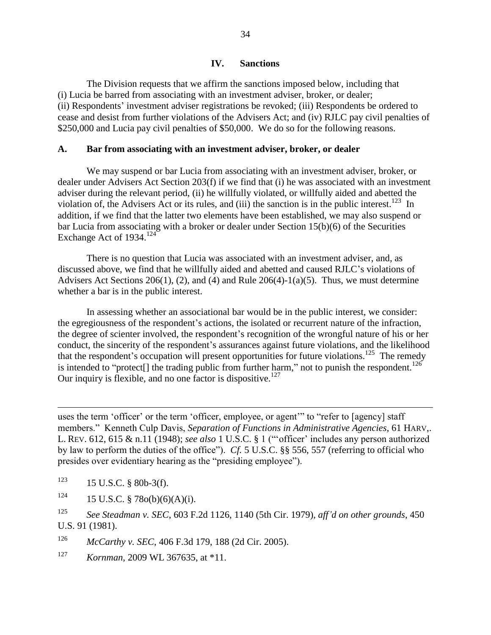#### **IV. Sanctions**

The Division requests that we affirm the sanctions imposed below, including that (i) Lucia be barred from associating with an investment adviser, broker, or dealer; (ii) Respondents' investment adviser registrations be revoked; (iii) Respondents be ordered to cease and desist from further violations of the Advisers Act; and (iv) RJLC pay civil penalties of \$250,000 and Lucia pay civil penalties of \$50,000. We do so for the following reasons.

#### **A. Bar from associating with an investment adviser, broker, or dealer**

We may suspend or bar Lucia from associating with an investment adviser, broker, or dealer under Advisers Act Section 203(f) if we find that (i) he was associated with an investment adviser during the relevant period, (ii) he willfully violated, or willfully aided and abetted the violation of, the Advisers Act or its rules, and (iii) the sanction is in the public interest.<sup>123</sup> In addition, if we find that the latter two elements have been established, we may also suspend or bar Lucia from associating with a broker or dealer under Section 15(b)(6) of the Securities Exchange Act of 1934.<sup>124</sup>

There is no question that Lucia was associated with an investment adviser, and, as discussed above, we find that he willfully aided and abetted and caused RJLC's violations of Advisers Act Sections 206(1), (2), and (4) and Rule 206(4)-1(a)(5). Thus, we must determine whether a bar is in the public interest.

In assessing whether an associational bar would be in the public interest, we consider: the egregiousness of the respondent's actions, the isolated or recurrent nature of the infraction, the degree of scienter involved, the respondent's recognition of the wrongful nature of his or her conduct, the sincerity of the respondent's assurances against future violations, and the likelihood that the respondent's occupation will present opportunities for future violations.<sup>125</sup> The remedy is intended to "protect[] the trading public from further harm," not to punish the respondent.<sup>126</sup> Our inquiry is flexible, and no one factor is dispositive.<sup>127</sup>

uses the term 'officer' or the term 'officer, employee, or agent'" to "refer to [agency] staff members." Kenneth Culp Davis, *Separation of Functions in Administrative Agencies,* 61 HARV,. L. REV. 612, 615 & n.11 (1948); *see also* 1 U.S.C. § 1 ("'officer' includes any person authorized by law to perform the duties of the office"). *Cf.* 5 U.S.C. §§ 556, 557 (referring to official who presides over evidentiary hearing as the "presiding employee").

 $123$  15 U.S.C. § 80b-3(f).

 $\overline{a}$ 

 $124$  15 U.S.C. § 78o(b)(6)(A)(i).

- <sup>126</sup> *McCarthy v. SEC*, 406 F.3d 179, 188 (2d Cir. 2005).
- <sup>127</sup> *Kornman*, 2009 WL 367635, at \*11.

<sup>125</sup> *See Steadman v. SEC*, 603 F.2d 1126, 1140 (5th Cir. 1979), *aff'd on other grounds*, 450 U.S. 91 (1981).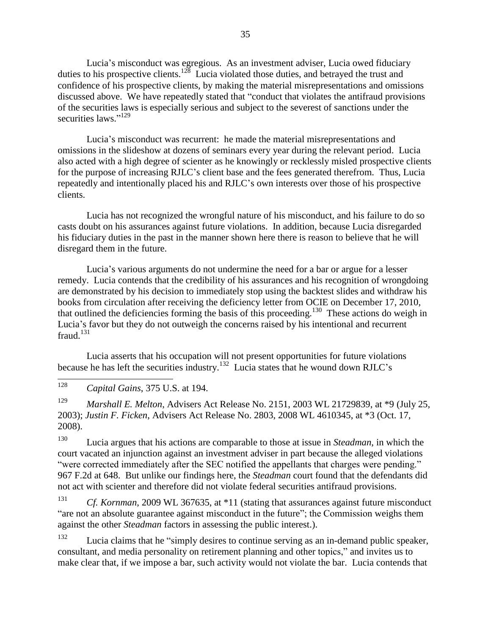Lucia's misconduct was egregious. As an investment adviser, Lucia owed fiduciary duties to his prospective clients.<sup>128</sup> Lucia violated those duties, and betrayed the trust and confidence of his prospective clients, by making the material misrepresentations and omissions discussed above. We have repeatedly stated that "conduct that violates the antifraud provisions of the securities laws is especially serious and subject to the severest of sanctions under the securities laws."<sup>129</sup>

Lucia's misconduct was recurrent: he made the material misrepresentations and omissions in the slideshow at dozens of seminars every year during the relevant period. Lucia also acted with a high degree of scienter as he knowingly or recklessly misled prospective clients for the purpose of increasing RJLC's client base and the fees generated therefrom. Thus, Lucia repeatedly and intentionally placed his and RJLC's own interests over those of his prospective clients.

Lucia has not recognized the wrongful nature of his misconduct, and his failure to do so casts doubt on his assurances against future violations. In addition, because Lucia disregarded his fiduciary duties in the past in the manner shown here there is reason to believe that he will disregard them in the future.

Lucia's various arguments do not undermine the need for a bar or argue for a lesser remedy. Lucia contends that the credibility of his assurances and his recognition of wrongdoing are demonstrated by his decision to immediately stop using the backtest slides and withdraw his books from circulation after receiving the deficiency letter from OCIE on December 17, 2010, that outlined the deficiencies forming the basis of this proceeding.<sup>130</sup> These actions do weigh in Lucia's favor but they do not outweigh the concerns raised by his intentional and recurrent fraud. $131$ 

Lucia asserts that his occupation will not present opportunities for future violations because he has left the securities industry.<sup>132</sup> Lucia states that he wound down RJLC's

128 <sup>128</sup> *Capital Gains*, 375 U.S. at 194.

<sup>129</sup> *Marshall E. Melton*, Advisers Act Release No. 2151, 2003 WL 21729839, at \*9 (July 25, 2003); *Justin F. Ficken*, Advisers Act Release No. 2803, 2008 WL 4610345, at \*3 (Oct. 17, 2008).

<sup>130</sup> Lucia argues that his actions are comparable to those at issue in *Steadman*, in which the court vacated an injunction against an investment adviser in part because the alleged violations "were corrected immediately after the SEC notified the appellants that charges were pending." 967 F.2d at 648. But unlike our findings here, the *Steadman* court found that the defendants did not act with scienter and therefore did not violate federal securities antifraud provisions.

<sup>131</sup> *Cf. Kornman*, 2009 WL 367635, at \*11 (stating that assurances against future misconduct "are not an absolute guarantee against misconduct in the future"; the Commission weighs them against the other *Steadman* factors in assessing the public interest.).

 $132$  Lucia claims that he "simply desires to continue serving as an in-demand public speaker, consultant, and media personality on retirement planning and other topics," and invites us to make clear that, if we impose a bar, such activity would not violate the bar. Lucia contends that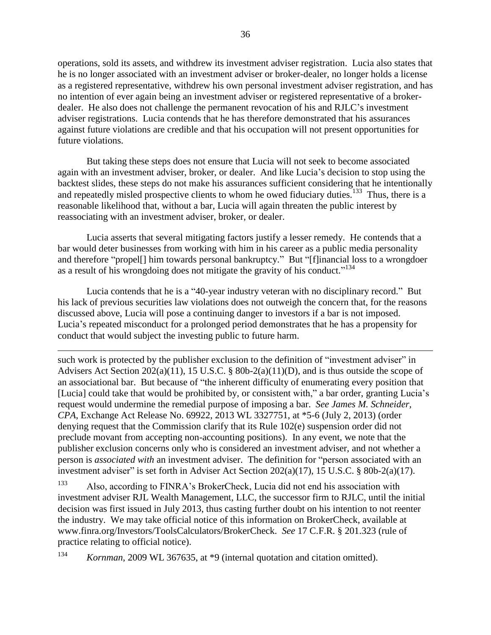operations, sold its assets, and withdrew its investment adviser registration. Lucia also states that he is no longer associated with an investment adviser or broker-dealer, no longer holds a license as a registered representative, withdrew his own personal investment adviser registration, and has no intention of ever again being an investment adviser or registered representative of a brokerdealer. He also does not challenge the permanent revocation of his and RJLC's investment adviser registrations. Lucia contends that he has therefore demonstrated that his assurances against future violations are credible and that his occupation will not present opportunities for future violations.

But taking these steps does not ensure that Lucia will not seek to become associated again with an investment adviser, broker, or dealer. And like Lucia's decision to stop using the backtest slides, these steps do not make his assurances sufficient considering that he intentionally and repeatedly misled prospective clients to whom he owed fiduciary duties.<sup>133</sup> Thus, there is a reasonable likelihood that, without a bar, Lucia will again threaten the public interest by reassociating with an investment adviser, broker, or dealer.

Lucia asserts that several mitigating factors justify a lesser remedy. He contends that a bar would deter businesses from working with him in his career as a public media personality and therefore "propel[] him towards personal bankruptcy." But "[f]inancial loss to a wrongdoer as a result of his wrongdoing does not mitigate the gravity of his conduct."<sup>134</sup>

Lucia contends that he is a "40-year industry veteran with no disciplinary record." But his lack of previous securities law violations does not outweigh the concern that, for the reasons discussed above, Lucia will pose a continuing danger to investors if a bar is not imposed. Lucia's repeated misconduct for a prolonged period demonstrates that he has a propensity for conduct that would subject the investing public to future harm.

l

such work is protected by the publisher exclusion to the definition of "investment adviser" in Advisers Act Section 202(a)(11), 15 U.S.C. § 80b-2(a)(11)(D), and is thus outside the scope of an associational bar. But because of "the inherent difficulty of enumerating every position that [Lucia] could take that would be prohibited by, or consistent with," a bar order, granting Lucia's request would undermine the remedial purpose of imposing a bar. *See James M. Schneider, CPA*, Exchange Act Release No. 69922, 2013 WL 3327751, at \*5-6 (July 2, 2013) (order denying request that the Commission clarify that its Rule 102(e) suspension order did not preclude movant from accepting non-accounting positions). In any event, we note that the publisher exclusion concerns only who is considered an investment adviser, and not whether a person is *associated with* an investment adviser. The definition for "person associated with an investment adviser" is set forth in Adviser Act Section 202(a)(17), 15 U.S.C. § 80b-2(a)(17).

<sup>133</sup> Also, according to FINRA's BrokerCheck, Lucia did not end his association with investment adviser RJL Wealth Management, LLC, the successor firm to RJLC, until the initial decision was first issued in July 2013, thus casting further doubt on his intention to not reenter the industry. We may take official notice of this information on BrokerCheck, available at www.finra.org/Investors/ToolsCalculators/BrokerCheck. *See* 17 C.F.R. § 201.323 (rule of practice relating to official notice).

<sup>134</sup> *Kornman*, 2009 WL 367635, at \*9 (internal quotation and citation omitted).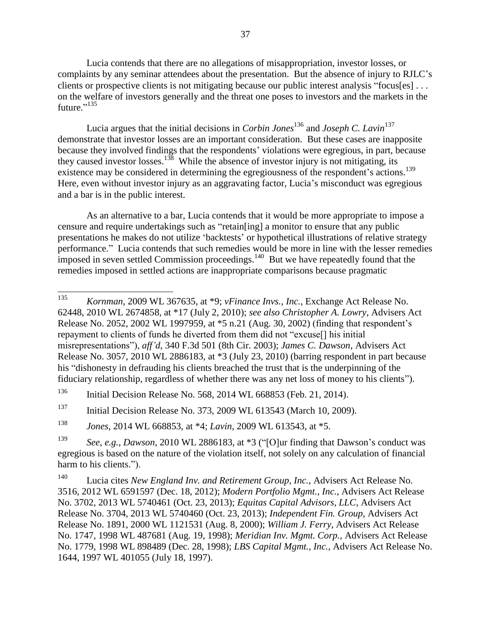Lucia contends that there are no allegations of misappropriation, investor losses, or complaints by any seminar attendees about the presentation. But the absence of injury to RJLC's clients or prospective clients is not mitigating because our public interest analysis "focus[es] . . . on the welfare of investors generally and the threat one poses to investors and the markets in the future."<sup>135</sup>

Lucia argues that the initial decisions in *Corbin Jones*<sup>136</sup> and *Joseph C. Lavin*<sup>137</sup> demonstrate that investor losses are an important consideration. But these cases are inapposite because they involved findings that the respondents' violations were egregious, in part, because they caused investor losses. $1^{38}$  While the absence of investor injury is not mitigating, its existence may be considered in determining the egregiousness of the respondent's actions.<sup>139</sup> Here, even without investor injury as an aggravating factor, Lucia's misconduct was egregious and a bar is in the public interest.

As an alternative to a bar, Lucia contends that it would be more appropriate to impose a censure and require undertakings such as "retain[ing] a monitor to ensure that any public presentations he makes do not utilize 'backtests' or hypothetical illustrations of relative strategy performance." Lucia contends that such remedies would be more in line with the lesser remedies imposed in seven settled Commission proceedings.<sup>140</sup> But we have repeatedly found that the remedies imposed in settled actions are inappropriate comparisons because pragmatic

<sup>135</sup> <sup>135</sup> *Kornman*, 2009 WL 367635, at \*9; *vFinance Invs., Inc.*, Exchange Act Release No. 62448, 2010 WL 2674858, at \*17 (July 2, 2010); *see also Christopher A. Lowry*, Advisers Act Release No. 2052, 2002 WL 1997959, at \*5 n.21 (Aug. 30, 2002) (finding that respondent's repayment to clients of funds he diverted from them did not "excuse[] his initial misrepresentations"), *aff'd*, 340 F.3d 501 (8th Cir. 2003); *James C. Dawson*, Advisers Act Release No. 3057, 2010 WL 2886183, at \*3 (July 23, 2010) (barring respondent in part because his "dishonesty in defrauding his clients breached the trust that is the underpinning of the fiduciary relationship, regardless of whether there was any net loss of money to his clients").

<sup>&</sup>lt;sup>136</sup> Initial Decision Release No. 568, 2014 WL 668853 (Feb. 21, 2014).

<sup>137</sup> Initial Decision Release No. 373, 2009 WL 613543 (March 10, 2009).

<sup>138</sup> *Jones*, 2014 WL 668853, at \*4; *Lavin*, 2009 WL 613543, at \*5.

<sup>139</sup> *See, e.g., Dawson*, 2010 WL 2886183, at \*3 ("[O]ur finding that Dawson's conduct was egregious is based on the nature of the violation itself, not solely on any calculation of financial harm to his clients.").

<sup>140</sup> Lucia cites *New England Inv. and Retirement Group, Inc.*, Advisers Act Release No. 3516, 2012 WL 6591597 (Dec. 18, 2012); *Modern Portfolio Mgmt., Inc.*, Advisers Act Release No. 3702, 2013 WL 5740461 (Oct. 23, 2013); *Equitas Capital Advisors, LLC*, Advisers Act Release No. 3704, 2013 WL 5740460 (Oct. 23, 2013); *Independent Fin. Group*, Advisers Act Release No. 1891, 2000 WL 1121531 (Aug. 8, 2000); *William J. Ferry*, Advisers Act Release No. 1747, 1998 WL 487681 (Aug. 19, 1998); *Meridian Inv. Mgmt. Corp.*, Advisers Act Release No. 1779, 1998 WL 898489 (Dec. 28, 1998); *LBS Capital Mgmt., Inc.*, Advisers Act Release No. 1644, 1997 WL 401055 (July 18, 1997).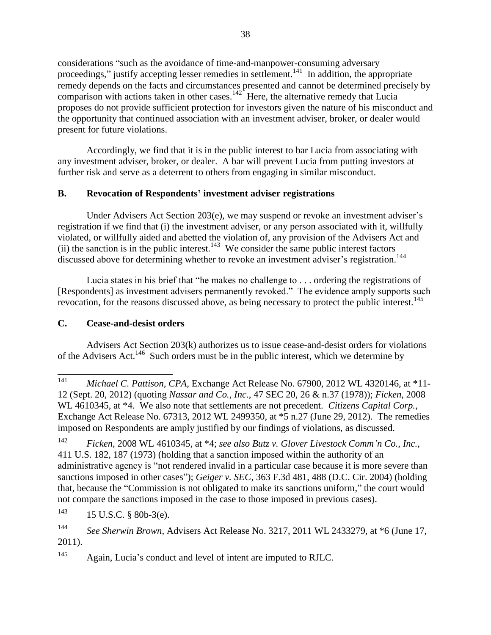considerations "such as the avoidance of time-and-manpower-consuming adversary proceedings," justify accepting lesser remedies in settlement.<sup>141</sup> In addition, the appropriate remedy depends on the facts and circumstances presented and cannot be determined precisely by comparison with actions taken in other cases.  $^{142}$  Here, the alternative remedy that Lucia proposes do not provide sufficient protection for investors given the nature of his misconduct and the opportunity that continued association with an investment adviser, broker, or dealer would present for future violations.

Accordingly, we find that it is in the public interest to bar Lucia from associating with any investment adviser, broker, or dealer. A bar will prevent Lucia from putting investors at further risk and serve as a deterrent to others from engaging in similar misconduct.

## **B. Revocation of Respondents' investment adviser registrations**

Under Advisers Act Section 203(e), we may suspend or revoke an investment adviser's registration if we find that (i) the investment adviser, or any person associated with it, willfully violated, or willfully aided and abetted the violation of, any provision of the Advisers Act and  $(ii)$  the sanction is in the public interest.<sup>143</sup> We consider the same public interest factors discussed above for determining whether to revoke an investment adviser's registration.<sup>144</sup>

Lucia states in his brief that "he makes no challenge to . . . ordering the registrations of [Respondents] as investment advisers permanently revoked." The evidence amply supports such revocation, for the reasons discussed above, as being necessary to protect the public interest.<sup>145</sup>

# **C. Cease-and-desist orders**

Advisers Act Section 203(k) authorizes us to issue cease-and-desist orders for violations of the Advisers Act.<sup>146</sup> Such orders must be in the public interest, which we determine by

<sup>141</sup> <sup>141</sup> *Michael C. Pattison, CPA*, Exchange Act Release No. 67900, 2012 WL 4320146, at \*11- 12 (Sept. 20, 2012) (quoting *Nassar and Co., Inc.*, 47 SEC 20, 26 & n.37 (1978)); *Ficken*, 2008 WL 4610345, at \*4. We also note that settlements are not precedent. *Citizens Capital Corp.*, Exchange Act Release No. 67313, 2012 WL 2499350, at \*5 n.27 (June 29, 2012). The remedies imposed on Respondents are amply justified by our findings of violations, as discussed.

<sup>142</sup> *Ficken*, 2008 WL 4610345, at \*4; *see also Butz v. Glover Livestock Comm'n Co., Inc.*, 411 U.S. 182, 187 (1973) (holding that a sanction imposed within the authority of an administrative agency is "not rendered invalid in a particular case because it is more severe than sanctions imposed in other cases"); *Geiger v. SEC*, 363 F.3d 481, 488 (D.C. Cir. 2004) (holding that, because the "Commission is not obligated to make its sanctions uniform," the court would not compare the sanctions imposed in the case to those imposed in previous cases).

 $143$  15 U.S.C. § 80b-3(e).

<sup>144</sup> *See Sherwin Brown*, Advisers Act Release No. 3217, 2011 WL 2433279, at \*6 (June 17, 2011).

<sup>145</sup> Again, Lucia's conduct and level of intent are imputed to RJLC.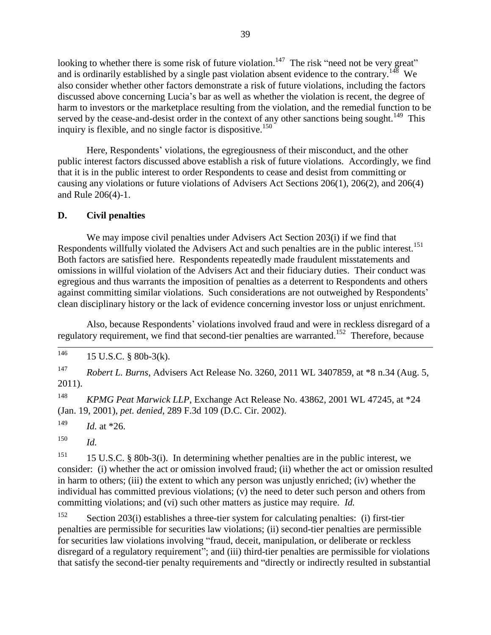looking to whether there is some risk of future violation.<sup>147</sup> The risk "need not be very great" and is ordinarily established by a single past violation absent evidence to the contrary.<sup>148</sup> We also consider whether other factors demonstrate a risk of future violations, including the factors discussed above concerning Lucia's bar as well as whether the violation is recent, the degree of harm to investors or the marketplace resulting from the violation, and the remedial function to be served by the cease-and-desist order in the context of any other sanctions being sought.<sup>149</sup> This inquiry is flexible, and no single factor is dispositive.<sup>150</sup>

Here, Respondents' violations, the egregiousness of their misconduct, and the other public interest factors discussed above establish a risk of future violations. Accordingly, we find that it is in the public interest to order Respondents to cease and desist from committing or causing any violations or future violations of Advisers Act Sections 206(1), 206(2), and 206(4) and Rule 206(4)-1.

## **D. Civil penalties**

We may impose civil penalties under Advisers Act Section 203(i) if we find that Respondents willfully violated the Advisers Act and such penalties are in the public interest.<sup>151</sup> Both factors are satisfied here. Respondents repeatedly made fraudulent misstatements and omissions in willful violation of the Advisers Act and their fiduciary duties. Their conduct was egregious and thus warrants the imposition of penalties as a deterrent to Respondents and others against committing similar violations. Such considerations are not outweighed by Respondents' clean disciplinary history or the lack of evidence concerning investor loss or unjust enrichment.

Also, because Respondents' violations involved fraud and were in reckless disregard of a regulatory requirement, we find that second-tier penalties are warranted.<sup>152</sup> Therefore, because

<sup>148</sup> *KPMG Peat Marwick LLP*, Exchange Act Release No. 43862, 2001 WL 47245, at \*24 (Jan. 19, 2001), *pet. denied*, 289 F.3d 109 (D.C. Cir. 2002).

<sup>149</sup> *Id.* at  $*26$ .

<sup>150</sup> *Id.*

<sup>151</sup> 15 U.S.C. § 80b-3(i). In determining whether penalties are in the public interest, we consider: (i) whether the act or omission involved fraud; (ii) whether the act or omission resulted in harm to others; (iii) the extent to which any person was unjustly enriched; (iv) whether the individual has committed previous violations; (v) the need to deter such person and others from committing violations; and (vi) such other matters as justice may require. *Id.*

<sup>152</sup> Section 203(i) establishes a three-tier system for calculating penalties: (i) first-tier penalties are permissible for securities law violations; (ii) second-tier penalties are permissible for securities law violations involving "fraud, deceit, manipulation, or deliberate or reckless disregard of a regulatory requirement"; and (iii) third-tier penalties are permissible for violations that satisfy the second-tier penalty requirements and "directly or indirectly resulted in substantial

<sup>146</sup> 15 U.S.C.  $\S$  80b-3(k).

<sup>147</sup> *Robert L. Burns*, Advisers Act Release No. 3260, 2011 WL 3407859, at \*8 n.34 (Aug. 5, 2011).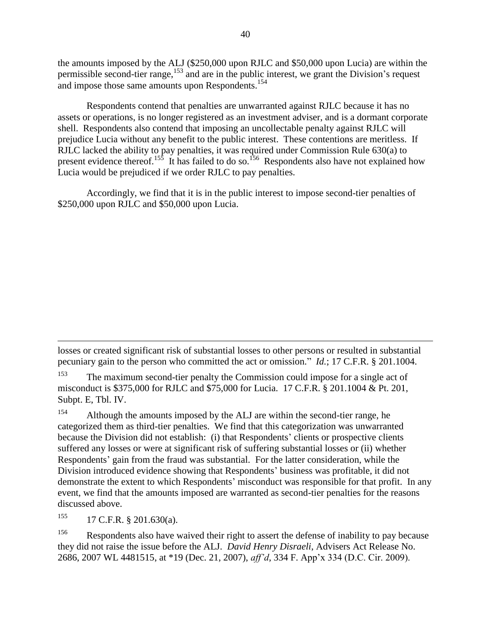the amounts imposed by the ALJ (\$250,000 upon RJLC and \$50,000 upon Lucia) are within the permissible second-tier range,<sup>153</sup> and are in the public interest, we grant the Division's request and impose those same amounts upon Respondents.<sup>154</sup>

Respondents contend that penalties are unwarranted against RJLC because it has no assets or operations, is no longer registered as an investment adviser, and is a dormant corporate shell. Respondents also contend that imposing an uncollectable penalty against RJLC will prejudice Lucia without any benefit to the public interest. These contentions are meritless. If RJLC lacked the ability to pay penalties, it was required under Commission Rule 630(a) to present evidence thereof.<sup>155</sup> It has failed to do so.<sup>156</sup> Respondents also have not explained how Lucia would be prejudiced if we order RJLC to pay penalties.

Accordingly, we find that it is in the public interest to impose second-tier penalties of \$250,000 upon RJLC and \$50,000 upon Lucia.

losses or created significant risk of substantial losses to other persons or resulted in substantial pecuniary gain to the person who committed the act or omission." *Id.*; 17 C.F.R. § 201.1004.

<sup>153</sup> The maximum second-tier penalty the Commission could impose for a single act of misconduct is \$375,000 for RJLC and \$75,000 for Lucia. 17 C.F.R. § 201.1004 & Pt. 201, Subpt. E, Tbl. IV.

<sup>154</sup> Although the amounts imposed by the ALJ are within the second-tier range, he categorized them as third-tier penalties. We find that this categorization was unwarranted because the Division did not establish: (i) that Respondents' clients or prospective clients suffered any losses or were at significant risk of suffering substantial losses or (ii) whether Respondents' gain from the fraud was substantial. For the latter consideration, while the Division introduced evidence showing that Respondents' business was profitable, it did not demonstrate the extent to which Respondents' misconduct was responsible for that profit. In any event, we find that the amounts imposed are warranted as second-tier penalties for the reasons discussed above.

 $155$  17 C.F.R. § 201.630(a).

l

<sup>156</sup> Respondents also have waived their right to assert the defense of inability to pay because they did not raise the issue before the ALJ. *David Henry Disraeli*, Advisers Act Release No. 2686, 2007 WL 4481515, at \*19 (Dec. 21, 2007), *aff'd*, 334 F. App'x 334 (D.C. Cir. 2009).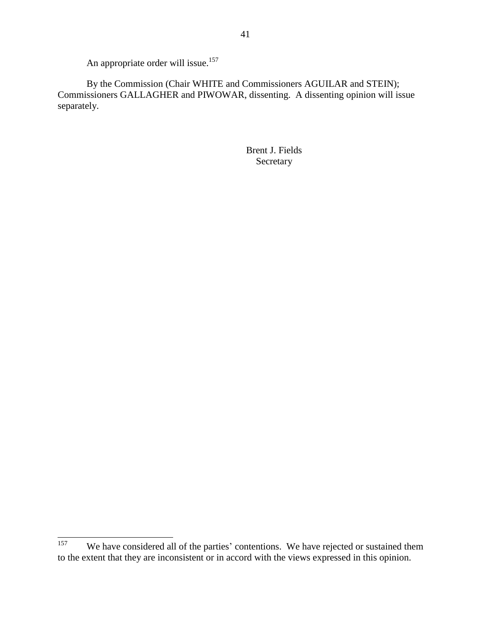An appropriate order will issue.<sup>157</sup>

By the Commission (Chair WHITE and Commissioners AGUILAR and STEIN); Commissioners GALLAGHER and PIWOWAR, dissenting. A dissenting opinion will issue separately.

> Brent J. Fields Secretary

<sup>157</sup> We have considered all of the parties' contentions. We have rejected or sustained them to the extent that they are inconsistent or in accord with the views expressed in this opinion.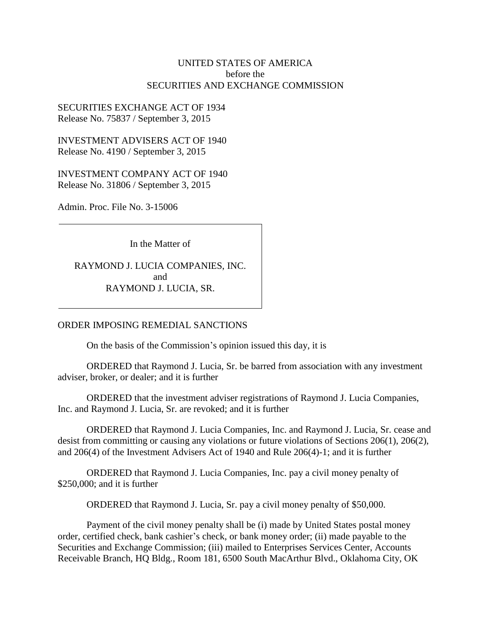### UNITED STATES OF AMERICA before the SECURITIES AND EXCHANGE COMMISSION

### SECURITIES EXCHANGE ACT OF 1934 Release No. 75837 / September 3, 2015

INVESTMENT ADVISERS ACT OF 1940 Release No. 4190 / September 3, 2015

INVESTMENT COMPANY ACT OF 1940 Release No. 31806 / September 3, 2015

Admin. Proc. File No. 3-15006

In the Matter of

RAYMOND J. LUCIA COMPANIES, INC. and RAYMOND J. LUCIA, SR.

ORDER IMPOSING REMEDIAL SANCTIONS

On the basis of the Commission's opinion issued this day, it is

ORDERED that Raymond J. Lucia, Sr. be barred from association with any investment adviser, broker, or dealer; and it is further

ORDERED that the investment adviser registrations of Raymond J. Lucia Companies, Inc. and Raymond J. Lucia, Sr. are revoked; and it is further

ORDERED that Raymond J. Lucia Companies, Inc. and Raymond J. Lucia, Sr. cease and desist from committing or causing any violations or future violations of Sections 206(1), 206(2), and 206(4) of the Investment Advisers Act of 1940 and Rule 206(4)-1; and it is further

ORDERED that Raymond J. Lucia Companies, Inc. pay a civil money penalty of \$250,000; and it is further

ORDERED that Raymond J. Lucia, Sr. pay a civil money penalty of \$50,000.

Payment of the civil money penalty shall be (i) made by United States postal money order, certified check, bank cashier's check, or bank money order; (ii) made payable to the Securities and Exchange Commission; (iii) mailed to Enterprises Services Center, Accounts Receivable Branch, HQ Bldg., Room 181, 6500 South MacArthur Blvd., Oklahoma City, OK